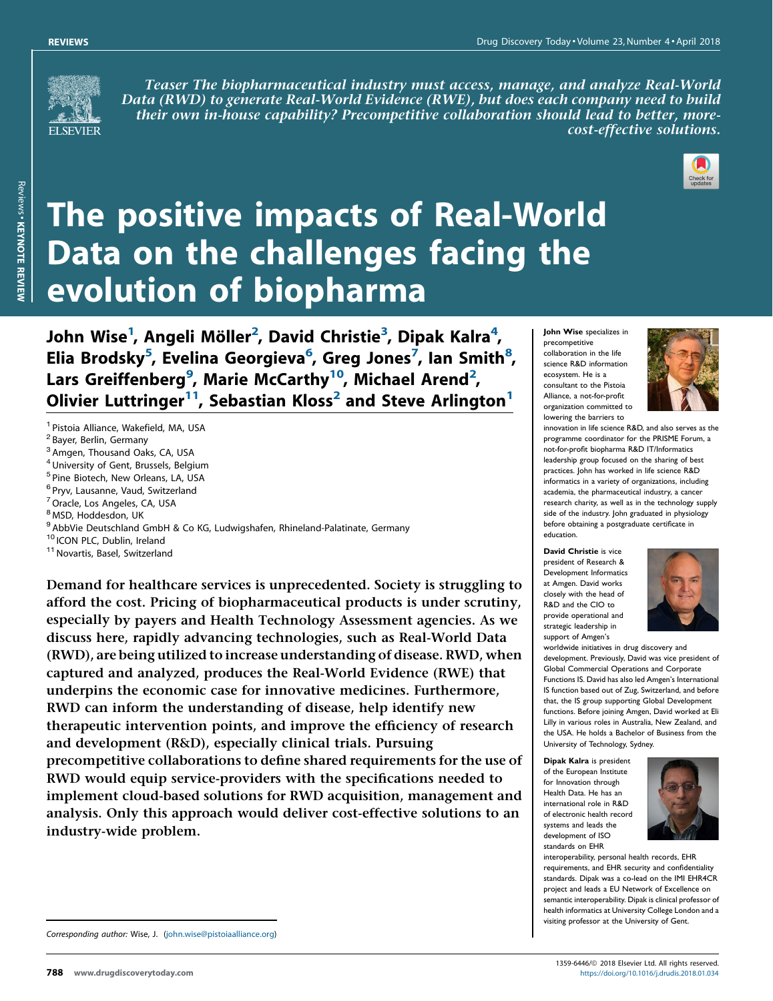

Reviews

KEYNOTE

**REVIEW** 

Teaser The biopharmaceutical industry must access, manage, and analyze Real-World Data (RWD) to generate Real-World Evidence (RWE), but does each company need to build their own in-house capability? Precompetitive collaboration should lead to better, morecost-effective solutions.



# The positive impacts of Real-World Data on the challenges facing the evolution of biopharma

John Wise<sup>1</sup>, Angeli Möller<sup>2</sup>, David Christie<sup>3</sup>, Dipak Kalra<sup>4</sup>, Elia Brodsky<sup>5</sup>, Evelina Georgieva<sup>6</sup>, Greg Jones<sup>7</sup>, Ian Smith<sup>8</sup>, Lars Greiffenberg<sup>9</sup>, Marie McCarthy<sup>10</sup>, Michael Arend<sup>2</sup>, Olivier Luttringer<sup>11</sup>, Sebastian Kloss<sup>2</sup> and Steve Arlington<sup>1</sup>

- 
- 
- 
- 
- 
- 
- 
- 
- <sup>1</sup> Pistoia Alliance, Wakefield, MA, USA<br><sup>2</sup> Bayer, Berlin, Germany<br><sup>3</sup> Amgen, Thousand Oaks, CA, USA<br><sup>4</sup> University of Gent, Brussels, Belgium<br><sup>5</sup> Pine Biotech, New Orleans, LA, USA<br><sup>6</sup> Pryv, Lausanne, Vaud, Switzerland<br><sup></sup>
- 
- 

Demand for healthcare services is unprecedented. Society is struggling to afford the cost. Pricing of biopharmaceutical products is under scrutiny, especially by payers and Health Technology Assessment agencies. As we discuss here, rapidly advancing technologies, such as Real-World Data (RWD), are being utilized to increase understanding of disease. RWD, when captured and analyzed, produces the Real-World Evidence (RWE) that underpins the economic case for innovative medicines. Furthermore, RWD can inform the understanding of disease, help identify new therapeutic intervention points, and improve the efficiency of research and development (R&D), especially clinical trials. Pursuing precompetitive collaborations to define shared requirements for the use of RWD would equip service-providers with the specifications needed to implement cloud-based solutions for RWD acquisition, management and analysis. Only this approach would deliver cost-effective solutions to an industry-wide problem.

**John Wise specializes in** precompetitive collaboration in the life science R&D information ecosystem. He is a consultant to the Pistoia Alliance, a not-for-profit organization committed to lowering the barriers to



innovation in life science R&D, and also serves as the programme coordinator for the PRISME Forum, a not-for-profit biopharma R&D IT/Informatics leadership group focused on the sharing of best practices. John has worked in life science R&D informatics in a variety of organizations, including academia, the pharmaceutical industry, a cancer research charity, as well as in the technology supply side of the industry. John graduated in physiology before obtaining a postgraduate certificate in education.

David Christie is vice president of Research & Development Informatics at Amgen. David works closely with the head of R&D and the CIO to provide operational and strategic leadership in support of Amgen's



worldwide initiatives in drug discovery and development. Previously, David was vice president of Global Commercial Operations and Corporate Functions IS. David has also led Amgen's International IS function based out of Zug, Switzerland, and before that, the IS group supporting Global Development functions. Before joining Amgen, David worked at Eli Lilly in various roles in Australia, New Zealand, and the USA. He holds a Bachelor of Business from the University of Technology, Sydney.

Dipak Kalra is president of the European Institute for Innovation through Health Data. He has an international role in R&D of electronic health record systems and leads the development of ISO standards on EHR



interoperability, personal health records, EHR requirements, and EHR security and confidentiality standards. Dipak was a co-lead on the IMI EHR4CR project and leads a EU Network of Excellence on semantic interoperability. Dipak is clinical professor of health informatics at University College London and a visiting professor at the University of Gent.

Corresponding author: Wise, J. ([john.wise@pistoiaalliance.org](mailto:john.wise@pistoiaalliance.org))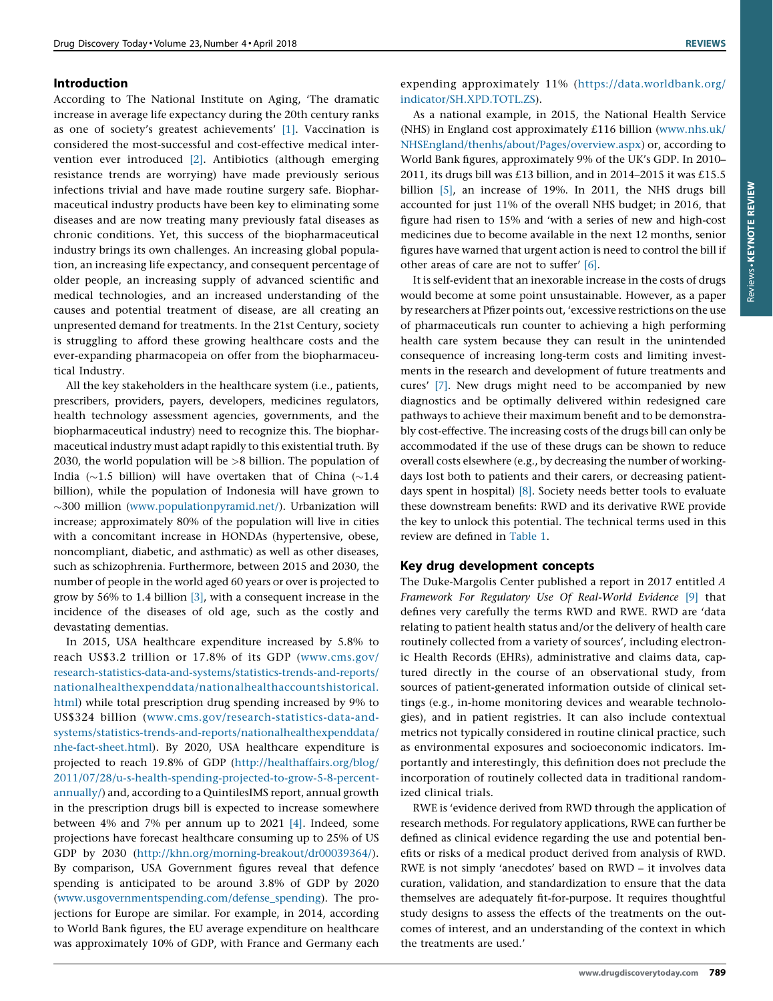#### Introduction

According to The National Institute on Aging, 'The dramatic increase in average life expectancy during the 20th century ranks as one of society's greatest achievements' [\[1\]](#page-12-0). Vaccination is considered the most-successful and cost-effective medical intervention ever introduced [\[2\]](#page-12-0). Antibiotics (although emerging resistance trends are worrying) have made previously serious infections trivial and have made routine surgery safe. Biopharmaceutical industry products have been key to eliminating some diseases and are now treating many previously fatal diseases as chronic conditions. Yet, this success of the biopharmaceutical industry brings its own challenges. An increasing global population, an increasing life expectancy, and consequent percentage of older people, an increasing supply of advanced scientific and medical technologies, and an increased understanding of the causes and potential treatment of disease, are all creating an unpresented demand for treatments. In the 21st Century, society is struggling to afford these growing healthcare costs and the ever-expanding pharmacopeia on offer from the biopharmaceutical Industry.

All the key stakeholders in the healthcare system (i.e., patients, prescribers, providers, payers, developers, medicines regulators, health technology assessment agencies, governments, and the biopharmaceutical industry) need to recognize this. The biopharmaceutical industry must adapt rapidly to this existential truth. By 2030, the world population will be >8 billion. The population of India ( $\sim$ 1.5 billion) will have overtaken that of China ( $\sim$ 1.4 billion), while the population of Indonesia will have grown to  $\sim$ 300 million ([www.populationpyramid.net/](http://www.populationpyramid.net/)). Urbanization will increase; approximately 80% of the population will live in cities with a concomitant increase in HONDAs (hypertensive, obese, noncompliant, diabetic, and asthmatic) as well as other diseases, such as schizophrenia. Furthermore, between 2015 and 2030, the number of people in the world aged 60 years or over is projected to grow by 56% to 1.4 billion [\[3\]](#page-12-0), with a consequent increase in the incidence of the diseases of old age, such as the costly and devastating dementias.

In 2015, USA healthcare expenditure increased by 5.8% to reach US\$3.2 trillion or 17.8% of its GDP [\(www.cms.gov/](http://www.cms.gov/research-statistics-data-and-systems/statistics-trends-and-reports/nationalhealthexpenddata/nationalhealthaccountshistorical.html) [research-statistics-data-and-systems/statistics-trends-and-reports/](http://www.cms.gov/research-statistics-data-and-systems/statistics-trends-and-reports/nationalhealthexpenddata/nationalhealthaccountshistorical.html) [nationalhealthexpenddata/nationalhealthaccountshistorical.](http://www.cms.gov/research-statistics-data-and-systems/statistics-trends-and-reports/nationalhealthexpenddata/nationalhealthaccountshistorical.html) [html\)](http://www.cms.gov/research-statistics-data-and-systems/statistics-trends-and-reports/nationalhealthexpenddata/nationalhealthaccountshistorical.html) while total prescription drug spending increased by 9% to US\$324 billion ([www.cms.gov/research-statistics-data-and](http://www.cms.gov/research-statistics-data-and-systems/statistics-trends-and-reports/nationalhealthexpenddata/nhe-fact-sheet.html)[systems/statistics-trends-and-reports/nationalhealthexpenddata/](http://www.cms.gov/research-statistics-data-and-systems/statistics-trends-and-reports/nationalhealthexpenddata/nhe-fact-sheet.html) [nhe-fact-sheet.html\)](http://www.cms.gov/research-statistics-data-and-systems/statistics-trends-and-reports/nationalhealthexpenddata/nhe-fact-sheet.html). By 2020, USA healthcare expenditure is projected to reach 19.8% of GDP [\(http://healthaffairs.org/blog/](http://healthaffairs.org/blog/2011/07/28/u-s-health-spending-projected-to-grow-5-8-percent-annually/) [2011/07/28/u-s-health-spending-projected-to-grow-5-8-percent](http://healthaffairs.org/blog/2011/07/28/u-s-health-spending-projected-to-grow-5-8-percent-annually/)[annually/\)](http://healthaffairs.org/blog/2011/07/28/u-s-health-spending-projected-to-grow-5-8-percent-annually/) and, according to a QuintilesIMS report, annual growth in the prescription drugs bill is expected to increase somewhere between 4% and 7% per annum up to 2021 [\[4\].](#page-12-0) Indeed, some projections have forecast healthcare consuming up to 25% of US GDP by 2030 ([http://khn.org/morning-breakout/dr00039364/\)](http://khn.org/morning-breakout/dr00039364/). By comparison, USA Government figures reveal that defence spending is anticipated to be around 3.8% of GDP by 2020 ([www.usgovernmentspending.com/defense\\_spending\)](http://www.usgovernmentspending.com/defense_spending). The projections for Europe are similar. For example, in 2014, according to World Bank figures, the EU average expenditure on healthcare was approximately 10% of GDP, with France and Germany each expending approximately 11% ([https://data.worldbank.org/](https://data.worldbank.org/indicator/SH.XPD.TOTL.ZS) [indicator/SH.XPD.TOTL.ZS](https://data.worldbank.org/indicator/SH.XPD.TOTL.ZS)).

As a national example, in 2015, the National Health Service (NHS) in England cost approximately £116 billion ([www.nhs.uk/](http://www.nhs.uk/NHSEngland/thenhs/about/Pages/overview.aspx) [NHSEngland/thenhs/about/Pages/overview.aspx](http://www.nhs.uk/NHSEngland/thenhs/about/Pages/overview.aspx)) or, according to World Bank figures, approximately 9% of the UK's GDP. In 2010– 2011, its drugs bill was £13 billion, and in 2014–2015 it was £15.5 billion [\[5\],](#page-12-0) an increase of 19%. In 2011, the NHS drugs bill accounted for just 11% of the overall NHS budget; in 2016, that figure had risen to 15% and 'with a series of new and high-cost medicines due to become available in the next 12 months, senior figures have warned that urgent action is need to control the bill if other areas of care are not to suffer' [\[6\]](#page-12-0).

It is self-evident that an inexorable increase in the costs of drugs would become at some point unsustainable. However, as a paper by researchers at Pfizer points out, 'excessive restrictions on the use of pharmaceuticals run counter to achieving a high performing health care system because they can result in the unintended consequence of increasing long-term costs and limiting investments in the research and development of future treatments and cures' [\[7\]](#page-12-0). New drugs might need to be accompanied by new diagnostics and be optimally delivered within redesigned care pathways to achieve their maximum benefit and to be demonstrably cost-effective. The increasing costs of the drugs bill can only be accommodated if the use of these drugs can be shown to reduce overall costs elsewhere (e.g., by decreasing the number of workingdays lost both to patients and their carers, or decreasing patientdays spent in hospital) [\[8\].](#page-12-0) Society needs better tools to evaluate these downstream benefits: RWD and its derivative RWE provide the key to unlock this potential. The technical terms used in this review are defined in [Table](#page-2-0) 1.

# Key drug development concepts

The Duke-Margolis Center published a report in 2017 entitled A Framework For Regulatory Use Of Real-World Evidence [\[9\]](#page-12-0) that defines very carefully the terms RWD and RWE. RWD are 'data relating to patient health status and/or the delivery of health care routinely collected from a variety of sources', including electronic Health Records (EHRs), administrative and claims data, captured directly in the course of an observational study, from sources of patient-generated information outside of clinical settings (e.g., in-home monitoring devices and wearable technologies), and in patient registries. It can also include contextual metrics not typically considered in routine clinical practice, such as environmental exposures and socioeconomic indicators. Importantly and interestingly, this definition does not preclude the incorporation of routinely collected data in traditional randomized clinical trials.

RWE is 'evidence derived from RWD through the application of research methods. For regulatory applications, RWE can further be defined as clinical evidence regarding the use and potential benefits or risks of a medical product derived from analysis of RWD. RWE is not simply 'anecdotes' based on RWD – it involves data curation, validation, and standardization to ensure that the data themselves are adequately fit-for-purpose. It requires thoughtful study designs to assess the effects of the treatments on the outcomes of interest, and an understanding of the context in which the treatments are used.'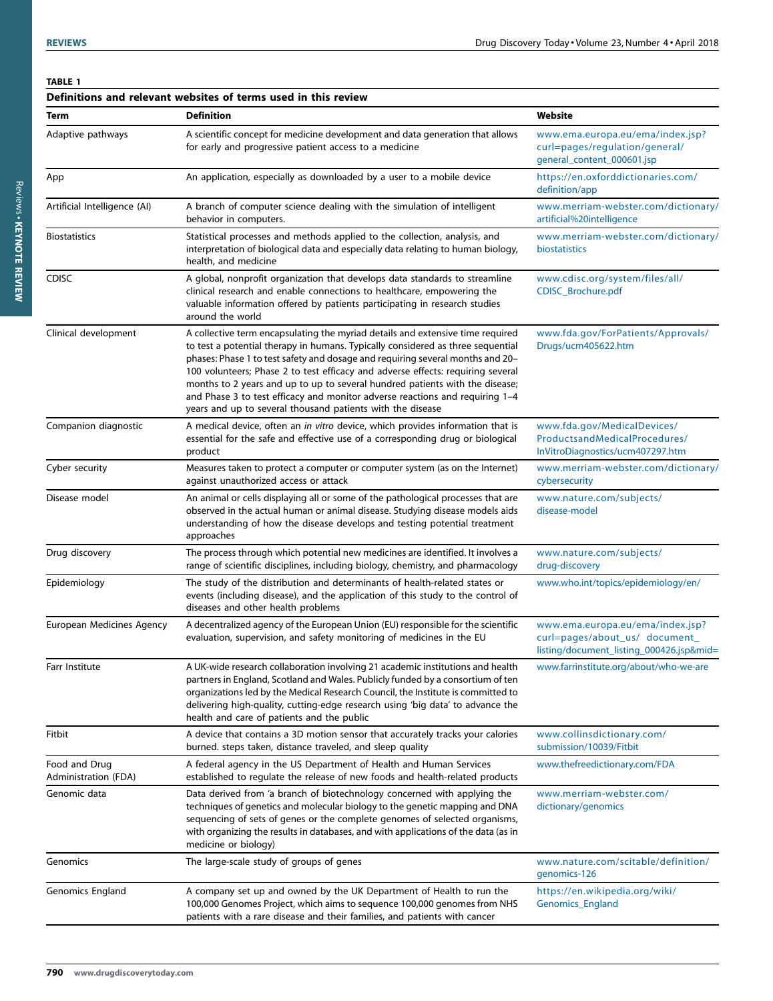Reviews

KEYNOTE

**REVIEW** 

<span id="page-2-0"></span>

| Term                                  | <b>Definition</b>                                                                                                                                                                                                                                                                                                                                                                                                                                                                                                                                                    | Website                                                                                                     |  |
|---------------------------------------|----------------------------------------------------------------------------------------------------------------------------------------------------------------------------------------------------------------------------------------------------------------------------------------------------------------------------------------------------------------------------------------------------------------------------------------------------------------------------------------------------------------------------------------------------------------------|-------------------------------------------------------------------------------------------------------------|--|
| Adaptive pathways                     | A scientific concept for medicine development and data generation that allows<br>for early and progressive patient access to a medicine                                                                                                                                                                                                                                                                                                                                                                                                                              | www.ema.europa.eu/ema/index.jsp?<br>curl=pages/regulation/general/<br>general_content_000601.jsp            |  |
| App                                   | An application, especially as downloaded by a user to a mobile device                                                                                                                                                                                                                                                                                                                                                                                                                                                                                                | https://en.oxforddictionaries.com/<br>definition/app                                                        |  |
| Artificial Intelligence (AI)          | A branch of computer science dealing with the simulation of intelligent<br>behavior in computers.                                                                                                                                                                                                                                                                                                                                                                                                                                                                    | www.merriam-webster.com/dictionary/<br>artificial%20intelligence                                            |  |
| <b>Biostatistics</b>                  | Statistical processes and methods applied to the collection, analysis, and<br>interpretation of biological data and especially data relating to human biology,<br>health, and medicine                                                                                                                                                                                                                                                                                                                                                                               | www.merriam-webster.com/dictionary/<br>biostatistics                                                        |  |
| <b>CDISC</b>                          | A global, nonprofit organization that develops data standards to streamline<br>clinical research and enable connections to healthcare, empowering the<br>valuable information offered by patients participating in research studies<br>around the world                                                                                                                                                                                                                                                                                                              | www.cdisc.org/system/files/all/<br>CDISC_Brochure.pdf                                                       |  |
| Clinical development                  | A collective term encapsulating the myriad details and extensive time required<br>to test a potential therapy in humans. Typically considered as three sequential<br>phases: Phase 1 to test safety and dosage and requiring several months and 20-<br>100 volunteers; Phase 2 to test efficacy and adverse effects: requiring several<br>months to 2 years and up to up to several hundred patients with the disease;<br>and Phase 3 to test efficacy and monitor adverse reactions and requiring 1-4<br>years and up to several thousand patients with the disease | www.fda.gov/ForPatients/Approvals/<br>Drugs/ucm405622.htm                                                   |  |
| Companion diagnostic                  | A medical device, often an in vitro device, which provides information that is<br>essential for the safe and effective use of a corresponding drug or biological<br>product                                                                                                                                                                                                                                                                                                                                                                                          | www.fda.gov/MedicalDevices/<br>ProductsandMedicalProcedures/<br>InVitroDiagnostics/ucm407297.htm            |  |
| Cyber security                        | Measures taken to protect a computer or computer system (as on the Internet)<br>against unauthorized access or attack                                                                                                                                                                                                                                                                                                                                                                                                                                                | www.merriam-webster.com/dictionary/<br>cybersecurity                                                        |  |
| Disease model                         | An animal or cells displaying all or some of the pathological processes that are<br>observed in the actual human or animal disease. Studying disease models aids<br>understanding of how the disease develops and testing potential treatment<br>approaches                                                                                                                                                                                                                                                                                                          | www.nature.com/subjects/<br>disease-model                                                                   |  |
| Drug discovery                        | The process through which potential new medicines are identified. It involves a<br>range of scientific disciplines, including biology, chemistry, and pharmacology                                                                                                                                                                                                                                                                                                                                                                                                   | www.nature.com/subjects/<br>drug-discovery                                                                  |  |
| Epidemiology                          | The study of the distribution and determinants of health-related states or<br>events (including disease), and the application of this study to the control of<br>diseases and other health problems                                                                                                                                                                                                                                                                                                                                                                  | www.who.int/topics/epidemiology/en/                                                                         |  |
| European Medicines Agency             | A decentralized agency of the European Union (EU) responsible for the scientific<br>evaluation, supervision, and safety monitoring of medicines in the EU                                                                                                                                                                                                                                                                                                                                                                                                            | www.ema.europa.eu/ema/index.jsp?<br>curl=pages/about_us/ document_<br>listing/document_listing_000426.jsp∣= |  |
| Farr Institute                        | A UK-wide research collaboration involving 21 academic institutions and health<br>partners in England, Scotland and Wales. Publicly funded by a consortium of ten<br>organizations led by the Medical Research Council, the Institute is committed to<br>delivering high-quality, cutting-edge research using 'big data' to advance the<br>health and care of patients and the public                                                                                                                                                                                | www.farrinstitute.org/about/who-we-are                                                                      |  |
| Fitbit                                | A device that contains a 3D motion sensor that accurately tracks your calories<br>burned. steps taken, distance traveled, and sleep quality                                                                                                                                                                                                                                                                                                                                                                                                                          | www.collinsdictionary.com/<br>submission/10039/Fitbit                                                       |  |
| Food and Drug<br>Administration (FDA) | A federal agency in the US Department of Health and Human Services<br>established to regulate the release of new foods and health-related products                                                                                                                                                                                                                                                                                                                                                                                                                   | www.thefreedictionary.com/FDA                                                                               |  |
| Genomic data                          | Data derived from 'a branch of biotechnology concerned with applying the<br>techniques of genetics and molecular biology to the genetic mapping and DNA<br>sequencing of sets of genes or the complete genomes of selected organisms,<br>with organizing the results in databases, and with applications of the data (as in<br>medicine or biology)                                                                                                                                                                                                                  | www.merriam-webster.com/<br>dictionary/genomics                                                             |  |
| Genomics                              | The large-scale study of groups of genes                                                                                                                                                                                                                                                                                                                                                                                                                                                                                                                             | www.nature.com/scitable/definition/<br>genomics-126                                                         |  |
| Genomics England                      | A company set up and owned by the UK Department of Health to run the<br>100,000 Genomes Project, which aims to sequence 100,000 genomes from NHS<br>patients with a rare disease and their families, and patients with cancer                                                                                                                                                                                                                                                                                                                                        | https://en.wikipedia.org/wiki/<br>Genomics_England                                                          |  |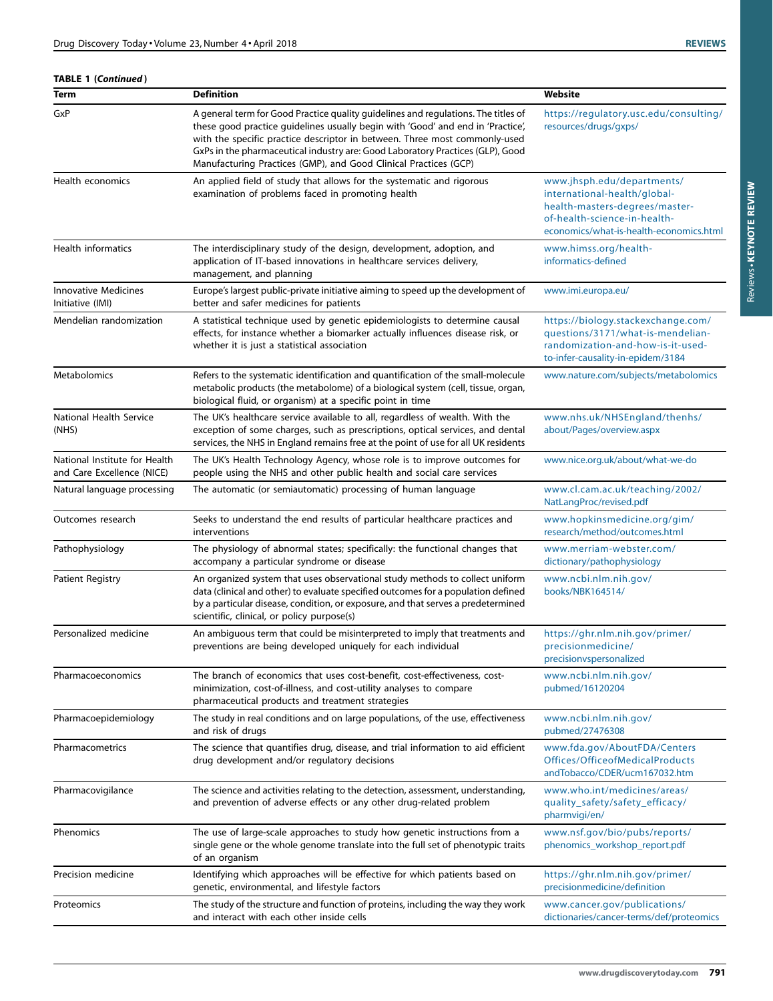## TABLE 1 (Continued )

| <b>IADLE I (CONTINUED)</b><br>Term                          | <b>Definition</b>                                                                                                                                                                                                                                                                                                                                                                                         | Website                                                                                                                                                                 |  |
|-------------------------------------------------------------|-----------------------------------------------------------------------------------------------------------------------------------------------------------------------------------------------------------------------------------------------------------------------------------------------------------------------------------------------------------------------------------------------------------|-------------------------------------------------------------------------------------------------------------------------------------------------------------------------|--|
| GxP                                                         | A general term for Good Practice quality guidelines and regulations. The titles of<br>these good practice guidelines usually begin with 'Good' and end in 'Practice',<br>with the specific practice descriptor in between. Three most commonly-used<br>GxPs in the pharmaceutical industry are: Good Laboratory Practices (GLP), Good<br>Manufacturing Practices (GMP), and Good Clinical Practices (GCP) | https://regulatory.usc.edu/consulting/<br>resources/drugs/gxps/                                                                                                         |  |
| Health economics                                            | An applied field of study that allows for the systematic and rigorous<br>examination of problems faced in promoting health                                                                                                                                                                                                                                                                                | www.jhsph.edu/departments/<br>international-health/global-<br>health-masters-degrees/master-<br>of-health-science-in-health-<br>economics/what-is-health-economics.html |  |
| Health informatics                                          | The interdisciplinary study of the design, development, adoption, and<br>application of IT-based innovations in healthcare services delivery,<br>management, and planning                                                                                                                                                                                                                                 | www.himss.org/health-<br>informatics-defined                                                                                                                            |  |
| <b>Innovative Medicines</b><br>Initiative (IMI)             | Europe's largest public-private initiative aiming to speed up the development of<br>better and safer medicines for patients                                                                                                                                                                                                                                                                               | www.imi.europa.eu/                                                                                                                                                      |  |
| Mendelian randomization                                     | A statistical technique used by genetic epidemiologists to determine causal<br>effects, for instance whether a biomarker actually influences disease risk, or<br>whether it is just a statistical association                                                                                                                                                                                             | https://biology.stackexchange.com/<br>questions/3171/what-is-mendelian-<br>randomization-and-how-is-it-used-<br>to-infer-causality-in-epidem/3184                       |  |
| Metabolomics                                                | Refers to the systematic identification and quantification of the small-molecule<br>metabolic products (the metabolome) of a biological system (cell, tissue, organ,<br>biological fluid, or organism) at a specific point in time                                                                                                                                                                        | www.nature.com/subjects/metabolomics                                                                                                                                    |  |
| National Health Service<br>(NHS)                            | The UK's healthcare service available to all, regardless of wealth. With the<br>exception of some charges, such as prescriptions, optical services, and dental<br>services, the NHS in England remains free at the point of use for all UK residents                                                                                                                                                      | www.nhs.uk/NHSEngland/thenhs/<br>about/Pages/overview.aspx                                                                                                              |  |
| National Institute for Health<br>and Care Excellence (NICE) | The UK's Health Technology Agency, whose role is to improve outcomes for<br>people using the NHS and other public health and social care services                                                                                                                                                                                                                                                         | www.nice.org.uk/about/what-we-do                                                                                                                                        |  |
| Natural language processing                                 | The automatic (or semiautomatic) processing of human language                                                                                                                                                                                                                                                                                                                                             | www.cl.cam.ac.uk/teaching/2002/<br>NatLangProc/revised.pdf                                                                                                              |  |
| Outcomes research                                           | Seeks to understand the end results of particular healthcare practices and<br>interventions                                                                                                                                                                                                                                                                                                               | www.hopkinsmedicine.org/gim/<br>research/method/outcomes.html                                                                                                           |  |
| Pathophysiology                                             | The physiology of abnormal states; specifically: the functional changes that<br>accompany a particular syndrome or disease                                                                                                                                                                                                                                                                                | www.merriam-webster.com/<br>dictionary/pathophysiology                                                                                                                  |  |
| Patient Registry                                            | An organized system that uses observational study methods to collect uniform<br>data (clinical and other) to evaluate specified outcomes for a population defined<br>by a particular disease, condition, or exposure, and that serves a predetermined<br>scientific, clinical, or policy purpose(s)                                                                                                       | www.ncbi.nlm.nih.gov/<br>books/NBK164514/                                                                                                                               |  |
| Personalized medicine                                       | An ambiguous term that could be misinterpreted to imply that treatments and<br>preventions are being developed uniquely for each individual                                                                                                                                                                                                                                                               | https://ghr.nlm.nih.gov/primer/<br>precisionmedicine/<br>precisionyspersonalized                                                                                        |  |
| Pharmacoeconomics                                           | The branch of economics that uses cost-benefit, cost-effectiveness, cost-<br>minimization, cost-of-illness, and cost-utility analyses to compare<br>pharmaceutical products and treatment strategies                                                                                                                                                                                                      | www.ncbi.nlm.nih.gov/<br>pubmed/16120204                                                                                                                                |  |
| Pharmacoepidemiology                                        | The study in real conditions and on large populations, of the use, effectiveness<br>and risk of drugs                                                                                                                                                                                                                                                                                                     | www.ncbi.nlm.nih.gov/<br>pubmed/27476308                                                                                                                                |  |
| Pharmacometrics                                             | The science that quantifies drug, disease, and trial information to aid efficient<br>drug development and/or regulatory decisions                                                                                                                                                                                                                                                                         | www.fda.gov/AboutFDA/Centers<br>Offices/OfficeofMedicalProducts<br>andTobacco/CDER/ucm167032.htm                                                                        |  |
| Pharmacovigilance                                           | The science and activities relating to the detection, assessment, understanding,<br>and prevention of adverse effects or any other drug-related problem                                                                                                                                                                                                                                                   | www.who.int/medicines/areas/<br>quality_safety/safety_efficacy/<br>pharmvigi/en/                                                                                        |  |
| Phenomics                                                   | The use of large-scale approaches to study how genetic instructions from a<br>single gene or the whole genome translate into the full set of phenotypic traits<br>of an organism                                                                                                                                                                                                                          | www.nsf.gov/bio/pubs/reports/<br>phenomics_workshop_report.pdf                                                                                                          |  |
| Precision medicine                                          | Identifying which approaches will be effective for which patients based on<br>genetic, environmental, and lifestyle factors                                                                                                                                                                                                                                                                               | https://ghr.nlm.nih.gov/primer/<br>precisionmedicine/definition                                                                                                         |  |
| Proteomics                                                  | The study of the structure and function of proteins, including the way they work<br>and interact with each other inside cells                                                                                                                                                                                                                                                                             | www.cancer.gov/publications/<br>dictionaries/cancer-terms/def/proteomics                                                                                                |  |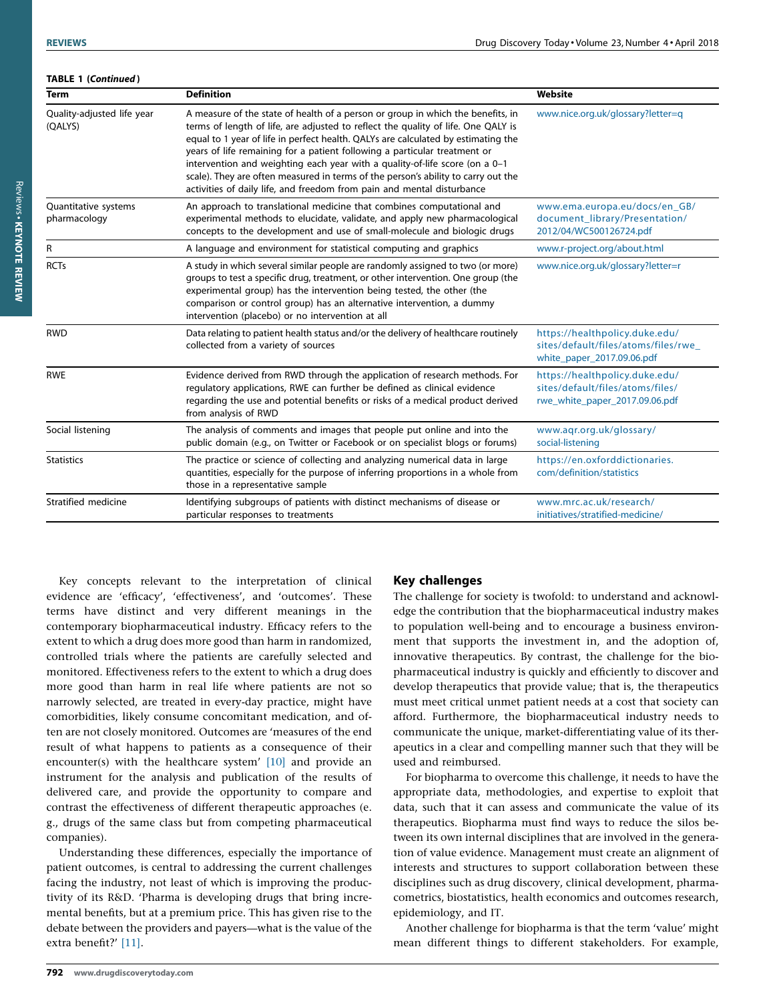#### TABLE 1 (Continued )

| <b>Term</b>                           | <b>Definition</b>                                                                                                                                                                                                                                                                                                                                                                                                                                                                                                                                                                    | Website                                                                                              |
|---------------------------------------|--------------------------------------------------------------------------------------------------------------------------------------------------------------------------------------------------------------------------------------------------------------------------------------------------------------------------------------------------------------------------------------------------------------------------------------------------------------------------------------------------------------------------------------------------------------------------------------|------------------------------------------------------------------------------------------------------|
| Quality-adjusted life year<br>(QALYS) | A measure of the state of health of a person or group in which the benefits, in<br>terms of length of life, are adjusted to reflect the quality of life. One QALY is<br>equal to 1 year of life in perfect health. QALYs are calculated by estimating the<br>years of life remaining for a patient following a particular treatment or<br>intervention and weighting each year with a quality-of-life score (on a 0-1<br>scale). They are often measured in terms of the person's ability to carry out the<br>activities of daily life, and freedom from pain and mental disturbance | www.nice.org.uk/glossary?letter=q                                                                    |
| Quantitative systems<br>pharmacology  | An approach to translational medicine that combines computational and<br>experimental methods to elucidate, validate, and apply new pharmacological<br>concepts to the development and use of small-molecule and biologic drugs                                                                                                                                                                                                                                                                                                                                                      | www.ema.europa.eu/docs/en_GB/<br>document_library/Presentation/<br>2012/04/WC500126724.pdf           |
| R                                     | A language and environment for statistical computing and graphics                                                                                                                                                                                                                                                                                                                                                                                                                                                                                                                    | www.r-project.org/about.html                                                                         |
| <b>RCTs</b>                           | A study in which several similar people are randomly assigned to two (or more)<br>groups to test a specific drug, treatment, or other intervention. One group (the<br>experimental group) has the intervention being tested, the other (the<br>comparison or control group) has an alternative intervention, a dummy<br>intervention (placebo) or no intervention at all                                                                                                                                                                                                             | www.nice.org.uk/glossary?letter=r                                                                    |
| <b>RWD</b>                            | Data relating to patient health status and/or the delivery of healthcare routinely<br>collected from a variety of sources                                                                                                                                                                                                                                                                                                                                                                                                                                                            | https://healthpolicy.duke.edu/<br>sites/default/files/atoms/files/rwe<br>white_paper_2017.09.06.pdf  |
| <b>RWE</b>                            | Evidence derived from RWD through the application of research methods. For<br>regulatory applications, RWE can further be defined as clinical evidence<br>regarding the use and potential benefits or risks of a medical product derived<br>from analysis of RWD                                                                                                                                                                                                                                                                                                                     | https://healthpolicy.duke.edu/<br>sites/default/files/atoms/files/<br>rwe_white_paper_2017.09.06.pdf |
| Social listening                      | The analysis of comments and images that people put online and into the<br>public domain (e.g., on Twitter or Facebook or on specialist blogs or forums)                                                                                                                                                                                                                                                                                                                                                                                                                             | www.aqr.org.uk/glossary/<br>social-listening                                                         |
| <b>Statistics</b>                     | The practice or science of collecting and analyzing numerical data in large<br>quantities, especially for the purpose of inferring proportions in a whole from<br>those in a representative sample                                                                                                                                                                                                                                                                                                                                                                                   | https://en.oxforddictionaries.<br>com/definition/statistics                                          |
| Stratified medicine                   | Identifying subgroups of patients with distinct mechanisms of disease or<br>particular responses to treatments                                                                                                                                                                                                                                                                                                                                                                                                                                                                       | www.mrc.ac.uk/research/<br>initiatives/stratified-medicine/                                          |

Key concepts relevant to the interpretation of clinical evidence are 'efficacy', 'effectiveness', and 'outcomes'. These terms have distinct and very different meanings in the contemporary biopharmaceutical industry. Efficacy refers to the extent to which a drug does more good than harm in randomized, controlled trials where the patients are carefully selected and monitored. Effectiveness refers to the extent to which a drug does more good than harm in real life where patients are not so narrowly selected, are treated in every-day practice, might have comorbidities, likely consume concomitant medication, and often are not closely monitored. Outcomes are 'measures of the end result of what happens to patients as a consequence of their encounter(s) with the healthcare system' [\[10\]](#page-12-0) and provide an instrument for the analysis and publication of the results of delivered care, and provide the opportunity to compare and contrast the effectiveness of different therapeutic approaches (e. g., drugs of the same class but from competing pharmaceutical companies).

Understanding these differences, especially the importance of patient outcomes, is central to addressing the current challenges facing the industry, not least of which is improving the productivity of its R&D. 'Pharma is developing drugs that bring incremental benefits, but at a premium price. This has given rise to the debate between the providers and payers—what is the value of the extra benefit?' [\[11\]](#page-12-0).

# Key challenges

The challenge for society is twofold: to understand and acknowledge the contribution that the biopharmaceutical industry makes to population well-being and to encourage a business environment that supports the investment in, and the adoption of, innovative therapeutics. By contrast, the challenge for the biopharmaceutical industry is quickly and efficiently to discover and develop therapeutics that provide value; that is, the therapeutics must meet critical unmet patient needs at a cost that society can afford. Furthermore, the biopharmaceutical industry needs to communicate the unique, market-differentiating value of its therapeutics in a clear and compelling manner such that they will be used and reimbursed.

For biopharma to overcome this challenge, it needs to have the appropriate data, methodologies, and expertise to exploit that data, such that it can assess and communicate the value of its therapeutics. Biopharma must find ways to reduce the silos between its own internal disciplines that are involved in the generation of value evidence. Management must create an alignment of interests and structures to support collaboration between these disciplines such as drug discovery, clinical development, pharmacometrics, biostatistics, health economics and outcomes research, epidemiology, and IT.

Another challenge for biopharma is that the term 'value' might mean different things to different stakeholders. For example,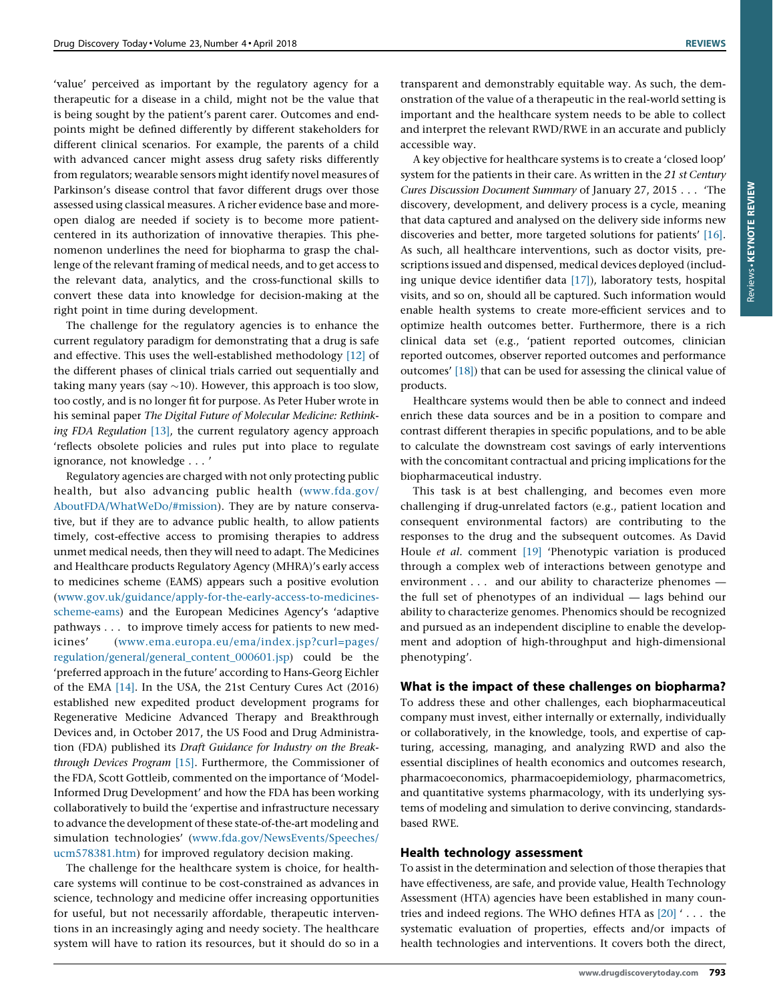'value' perceived as important by the regulatory agency for a therapeutic for a disease in a child, might not be the value that is being sought by the patient's parent carer. Outcomes and endpoints might be defined differently by different stakeholders for different clinical scenarios. For example, the parents of a child with advanced cancer might assess drug safety risks differently from regulators; wearable sensors might identify novel measures of Parkinson's disease control that favor different drugs over those assessed using classical measures. A richer evidence base and moreopen dialog are needed if society is to become more patientcentered in its authorization of innovative therapies. This phenomenon underlines the need for biopharma to grasp the challenge of the relevant framing of medical needs, and to get access to the relevant data, analytics, and the cross-functional skills to convert these data into knowledge for decision-making at the right point in time during development.

The challenge for the regulatory agencies is to enhance the current regulatory paradigm for demonstrating that a drug is safe and effective. This uses the well-established methodology [\[12\]](#page-12-0) of the different phases of clinical trials carried out sequentially and taking many years (say  $\sim$ 10). However, this approach is too slow, too costly, and is no longer fit for purpose. As Peter Huber wrote in his seminal paper The Digital Future of Molecular Medicine: Rethink-ing FDA Regulation [\[13\],](#page-12-0) the current regulatory agency approach 'reflects obsolete policies and rules put into place to regulate ignorance, not knowledge . . . '

Regulatory agencies are charged with not only protecting public health, but also advancing public health ([www.fda.gov/](http://www.fda.gov/AboutFDA/WhatWeDo/#mission) [AboutFDA/WhatWeDo/#mission](http://www.fda.gov/AboutFDA/WhatWeDo/#mission)). They are by nature conservative, but if they are to advance public health, to allow patients timely, cost-effective access to promising therapies to address unmet medical needs, then they will need to adapt. The Medicines and Healthcare products Regulatory Agency (MHRA)'s early access to medicines scheme (EAMS) appears such a positive evolution ([www.gov.uk/guidance/apply-for-the-early-access-to-medicines](http://www.gov.uk/guidance/apply-for-the-early-access-to-medicines-scheme-eams)[scheme-eams](http://www.gov.uk/guidance/apply-for-the-early-access-to-medicines-scheme-eams)) and the European Medicines Agency's 'adaptive pathways . . . to improve timely access for patients to new medicines' ([www.ema.europa.eu/ema/index.jsp?curl=pages/](http://www.ema.europa.eu/ema/index.jsp?curl=pages/regulation/general/general_content_000601.jsp) [regulation/general/general\\_content\\_000601.jsp\)](http://www.ema.europa.eu/ema/index.jsp?curl=pages/regulation/general/general_content_000601.jsp) could be the 'preferred approach in the future' according to Hans-Georg Eichler of the EMA [\[14\].](#page-12-0) In the USA, the 21st Century Cures Act (2016) established new expedited product development programs for Regenerative Medicine Advanced Therapy and Breakthrough Devices and, in October 2017, the US Food and Drug Administration (FDA) published its Draft Guidance for Industry on the Break-through Devices Program [\[15\]](#page-12-0). Furthermore, the Commissioner of the FDA, Scott Gottleib, commented on the importance of 'Model-Informed Drug Development' and how the FDA has been working collaboratively to build the 'expertise and infrastructure necessary to advance the development of these state-of-the-art modeling and simulation technologies' ([www.fda.gov/NewsEvents/Speeches/](http://www.fda.gov/NewsEvents/Speeches/ucm578381.htm) [ucm578381.htm](http://www.fda.gov/NewsEvents/Speeches/ucm578381.htm)) for improved regulatory decision making.

The challenge for the healthcare system is choice, for healthcare systems will continue to be cost-constrained as advances in science, technology and medicine offer increasing opportunities for useful, but not necessarily affordable, therapeutic interventions in an increasingly aging and needy society. The healthcare system will have to ration its resources, but it should do so in a

transparent and demonstrably equitable way. As such, the demonstration of the value of a therapeutic in the real-world setting is important and the healthcare system needs to be able to collect and interpret the relevant RWD/RWE in an accurate and publicly accessible way.

A key objective for healthcare systems is to create a 'closed loop' system for the patients in their care. As written in the 21 st Century Cures Discussion Document Summary of January 27, 2015 . . . 'The discovery, development, and delivery process is a cycle, meaning that data captured and analysed on the delivery side informs new discoveries and better, more targeted solutions for patients' [\[16\].](#page-12-0) As such, all healthcare interventions, such as doctor visits, prescriptions issued and dispensed, medical devices deployed (including unique device identifier data [\[17\]\)](#page-12-0), laboratory tests, hospital visits, and so on, should all be captured. Such information would enable health systems to create more-efficient services and to optimize health outcomes better. Furthermore, there is a rich clinical data set (e.g., 'patient reported outcomes, clinician reported outcomes, observer reported outcomes and performance outcomes' [\[18\]\)](#page-12-0) that can be used for assessing the clinical value of products.

Healthcare systems would then be able to connect and indeed enrich these data sources and be in a position to compare and contrast different therapies in specific populations, and to be able to calculate the downstream cost savings of early interventions with the concomitant contractual and pricing implications for the biopharmaceutical industry.

This task is at best challenging, and becomes even more challenging if drug-unrelated factors (e.g., patient location and consequent environmental factors) are contributing to the responses to the drug and the subsequent outcomes. As David Houle et al. comment [\[19\]](#page-12-0) 'Phenotypic variation is produced through a complex web of interactions between genotype and environment . . . and our ability to characterize phenomes the full set of phenotypes of an individual — lags behind our ability to characterize genomes. Phenomics should be recognized and pursued as an independent discipline to enable the development and adoption of high-throughput and high-dimensional phenotyping'.

#### What is the impact of these challenges on biopharma?

To address these and other challenges, each biopharmaceutical company must invest, either internally or externally, individually or collaboratively, in the knowledge, tools, and expertise of capturing, accessing, managing, and analyzing RWD and also the essential disciplines of health economics and outcomes research, pharmacoeconomics, pharmacoepidemiology, pharmacometrics, and quantitative systems pharmacology, with its underlying systems of modeling and simulation to derive convincing, standardsbased RWE.

## Health technology assessment

To assist in the determination and selection of those therapies that have effectiveness, are safe, and provide value, Health Technology Assessment (HTA) agencies have been established in many countries and indeed regions. The WHO defines HTA as [\[20\]](#page-12-0) ' . . . the systematic evaluation of properties, effects and/or impacts of health technologies and interventions. It covers both the direct,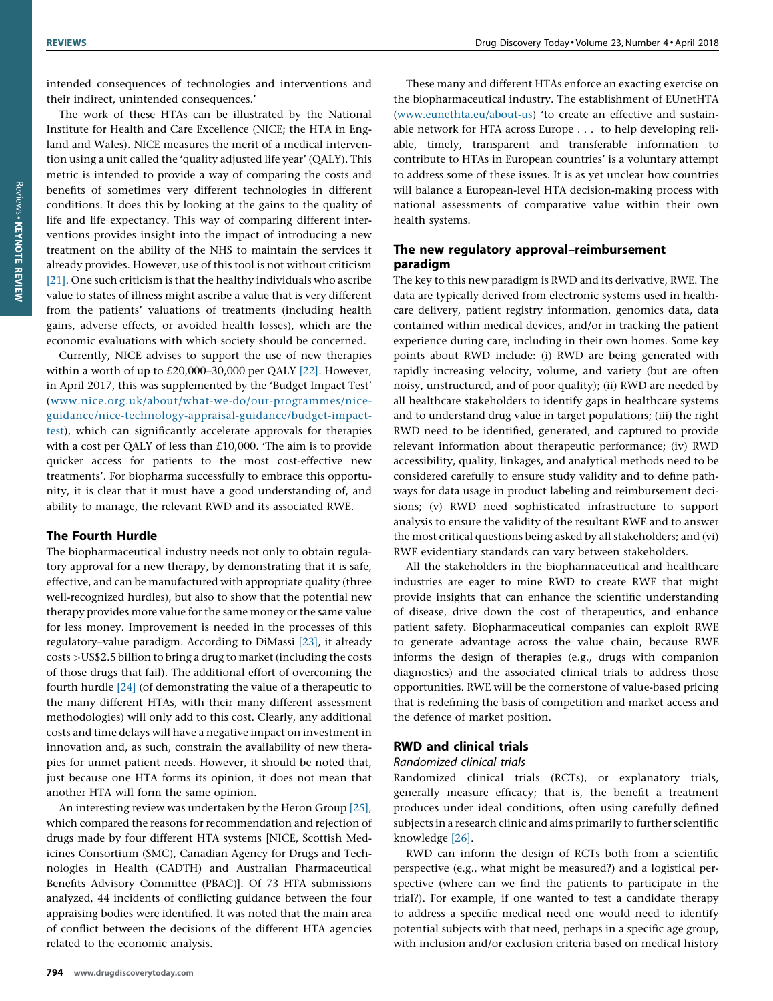intended consequences of technologies and interventions and their indirect, unintended consequences.'

The work of these HTAs can be illustrated by the National Institute for Health and Care Excellence (NICE; the HTA in England and Wales). NICE measures the merit of a medical intervention using a unit called the 'quality adjusted life year' (QALY). This metric is intended to provide a way of comparing the costs and benefits of sometimes very different technologies in different conditions. It does this by looking at the gains to the quality of life and life expectancy. This way of comparing different interventions provides insight into the impact of introducing a new treatment on the ability of the NHS to maintain the services it already provides. However, use of this tool is not without criticism [\[21\]](#page-12-0). One such criticism is that the healthy individuals who ascribe value to states of illness might ascribe a value that is very different from the patients' valuations of treatments (including health gains, adverse effects, or avoided health losses), which are the economic evaluations with which society should be concerned.

Currently, NICE advises to support the use of new therapies within a worth of up to £20,000–30,000 per QALY [\[22\].](#page-12-0) However, in April 2017, this was supplemented by the 'Budget Impact Test' ([www.nice.org.uk/about/what-we-do/our-programmes/nice](http://www.nice.org.uk/about/what-we-do/our-programmes/nice-guidance/nice-technology-appraisal-guidance/budget-impact-test)[guidance/nice-technology-appraisal-guidance/budget-impact](http://www.nice.org.uk/about/what-we-do/our-programmes/nice-guidance/nice-technology-appraisal-guidance/budget-impact-test)[test\)](http://www.nice.org.uk/about/what-we-do/our-programmes/nice-guidance/nice-technology-appraisal-guidance/budget-impact-test), which can significantly accelerate approvals for therapies with a cost per QALY of less than £10,000. 'The aim is to provide quicker access for patients to the most cost-effective new treatments'. For biopharma successfully to embrace this opportunity, it is clear that it must have a good understanding of, and ability to manage, the relevant RWD and its associated RWE.

## The Fourth Hurdle

The biopharmaceutical industry needs not only to obtain regulatory approval for a new therapy, by demonstrating that it is safe, effective, and can be manufactured with appropriate quality (three well-recognized hurdles), but also to show that the potential new therapy provides more value for the same money or the same value for less money. Improvement is needed in the processes of this regulatory–value paradigm. According to DiMassi [\[23\]](#page-12-0), it already costs >US\$2.5 billion to bring a drug to market(including the costs of those drugs that fail). The additional effort of overcoming the fourth hurdle [\[24\]](#page-12-0) (of demonstrating the value of a therapeutic to the many different HTAs, with their many different assessment methodologies) will only add to this cost. Clearly, any additional costs and time delays will have a negative impact on investment in innovation and, as such, constrain the availability of new therapies for unmet patient needs. However, it should be noted that, just because one HTA forms its opinion, it does not mean that another HTA will form the same opinion.

An interesting review was undertaken by the Heron Group [\[25\]](#page-12-0), which compared the reasons for recommendation and rejection of drugs made by four different HTA systems [NICE, Scottish Medicines Consortium (SMC), Canadian Agency for Drugs and Technologies in Health (CADTH) and Australian Pharmaceutical Benefits Advisory Committee (PBAC)]. Of 73 HTA submissions analyzed, 44 incidents of conflicting guidance between the four appraising bodies were identified. It was noted that the main area of conflict between the decisions of the different HTA agencies related to the economic analysis.

These many and different HTAs enforce an exacting exercise on the biopharmaceutical industry. The establishment of EUnetHTA ([www.eunethta.eu/about-us](http://www.eunethta.eu/about-us)) 'to create an effective and sustainable network for HTA across Europe . . . to help developing reliable, timely, transparent and transferable information to contribute to HTAs in European countries' is a voluntary attempt to address some of these issues. It is as yet unclear how countries will balance a European-level HTA decision-making process with national assessments of comparative value within their own health systems.

# The new regulatory approval–reimbursement paradigm

The key to this new paradigm is RWD and its derivative, RWE. The data are typically derived from electronic systems used in healthcare delivery, patient registry information, genomics data, data contained within medical devices, and/or in tracking the patient experience during care, including in their own homes. Some key points about RWD include: (i) RWD are being generated with rapidly increasing velocity, volume, and variety (but are often noisy, unstructured, and of poor quality); (ii) RWD are needed by all healthcare stakeholders to identify gaps in healthcare systems and to understand drug value in target populations; (iii) the right RWD need to be identified, generated, and captured to provide relevant information about therapeutic performance; (iv) RWD accessibility, quality, linkages, and analytical methods need to be considered carefully to ensure study validity and to define pathways for data usage in product labeling and reimbursement decisions; (v) RWD need sophisticated infrastructure to support analysis to ensure the validity of the resultant RWE and to answer the most critical questions being asked by all stakeholders; and (vi) RWE evidentiary standards can vary between stakeholders.

All the stakeholders in the biopharmaceutical and healthcare industries are eager to mine RWD to create RWE that might provide insights that can enhance the scientific understanding of disease, drive down the cost of therapeutics, and enhance patient safety. Biopharmaceutical companies can exploit RWE to generate advantage across the value chain, because RWE informs the design of therapies (e.g., drugs with companion diagnostics) and the associated clinical trials to address those opportunities. RWE will be the cornerstone of value-based pricing that is redefining the basis of competition and market access and the defence of market position.

#### RWD and clinical trials

#### Randomized clinical trials

Randomized clinical trials (RCTs), or explanatory trials, generally measure efficacy; that is, the benefit a treatment produces under ideal conditions, often using carefully defined subjects in a research clinic and aims primarily to further scientific knowledge [\[26\]](#page-12-0).

RWD can inform the design of RCTs both from a scientific perspective (e.g., what might be measured?) and a logistical perspective (where can we find the patients to participate in the trial?). For example, if one wanted to test a candidate therapy to address a specific medical need one would need to identify potential subjects with that need, perhaps in a specific age group, with inclusion and/or exclusion criteria based on medical history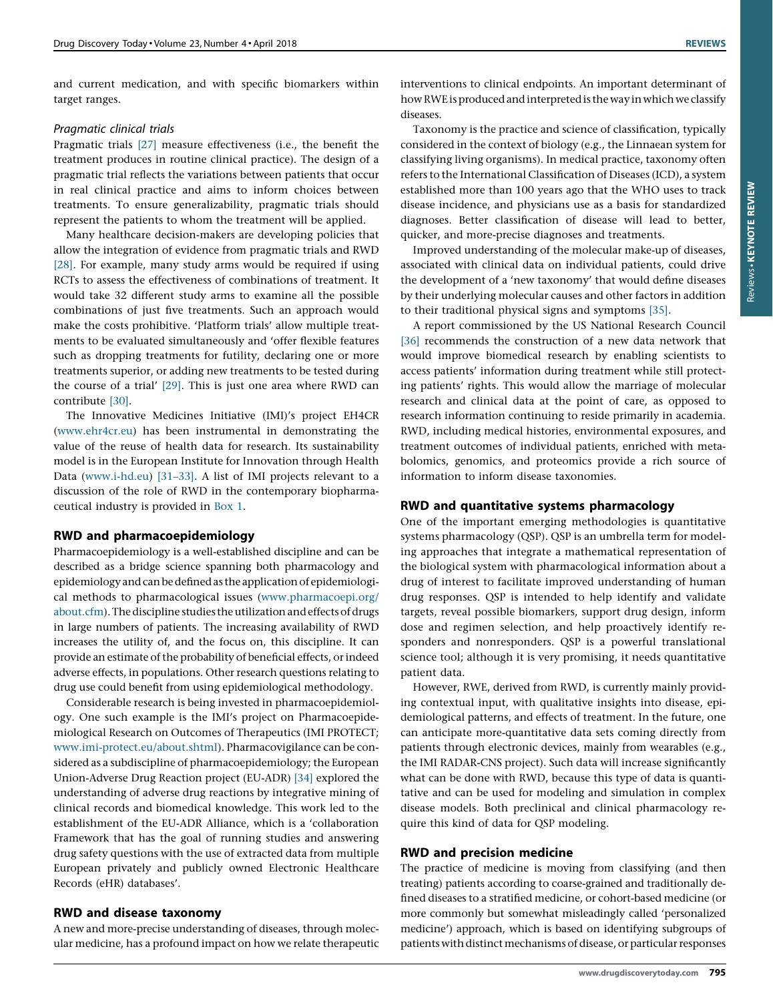and current medication, and with specific biomarkers within target ranges.

#### Pragmatic clinical trials

Pragmatic trials [\[27\]](#page-12-0) measure effectiveness (i.e., the benefit the treatment produces in routine clinical practice). The design of a pragmatic trial reflects the variations between patients that occur in real clinical practice and aims to inform choices between treatments. To ensure generalizability, pragmatic trials should represent the patients to whom the treatment will be applied.

Many healthcare decision-makers are developing policies that allow the integration of evidence from pragmatic trials and RWD [\[28\].](#page-12-0) For example, many study arms would be required if using RCTs to assess the effectiveness of combinations of treatment. It would take 32 different study arms to examine all the possible combinations of just five treatments. Such an approach would make the costs prohibitive. 'Platform trials' allow multiple treatments to be evaluated simultaneously and 'offer flexible features such as dropping treatments for futility, declaring one or more treatments superior, or adding new treatments to be tested during the course of a trial' [\[29\].](#page-12-0) This is just one area where RWD can contribute [\[30\]](#page-12-0).

The Innovative Medicines Initiative (IMI)'s project EH4CR ([www.ehr4cr.eu](http://www.ehr4cr.eu)) has been instrumental in demonstrating the value of the reuse of health data for research. Its sustainability model is in the European Institute for Innovation through Health Data ([www.i-hd.eu](http://www.i-hd.eu)) [\[31–33\]](#page-12-0). A list of IMI projects relevant to a discussion of the role of RWD in the contemporary biopharmaceutical industry is provided in [Box](#page-8-0) 1.

#### RWD and pharmacoepidemiology

Pharmacoepidemiology is a well-established discipline and can be described as a bridge science spanning both pharmacology and epidemiology and can be defined as the application of epidemiological methods to pharmacological issues [\(www.pharmacoepi.org/](http://www.pharmacoepi.org/about.cfm) [about.cfm](http://www.pharmacoepi.org/about.cfm)). The discipline studies the utilization and effects of drugs in large numbers of patients. The increasing availability of RWD increases the utility of, and the focus on, this discipline. It can provide an estimate of the probability of beneficial effects, or indeed adverse effects, in populations. Other research questions relating to drug use could benefit from using epidemiological methodology.

Considerable research is being invested in pharmacoepidemiology. One such example is the IMI's project on Pharmacoepidemiological Research on Outcomes of Therapeutics (IMI PROTECT; [www.imi-protect.eu/about.shtml\)](http://www.imi-protect.eu/about.shtml). Pharmacovigilance can be considered as a subdiscipline of pharmacoepidemiology; the European Union-Adverse Drug Reaction project (EU-ADR) [\[34\]](#page-12-0) explored the understanding of adverse drug reactions by integrative mining of clinical records and biomedical knowledge. This work led to the establishment of the EU-ADR Alliance, which is a 'collaboration Framework that has the goal of running studies and answering drug safety questions with the use of extracted data from multiple European privately and publicly owned Electronic Healthcare Records (eHR) databases'.

#### RWD and disease taxonomy

A new and more-precise understanding of diseases, through molecular medicine, has a profound impact on how we relate therapeutic interventions to clinical endpoints. An important determinant of how RWE is produced and interpreted is the way in which we classify diseases.

Taxonomy is the practice and science of classification, typically considered in the context of biology (e.g., the Linnaean system for classifying living organisms). In medical practice, taxonomy often refers to the International Classification of Diseases (ICD), a system established more than 100 years ago that the WHO uses to track disease incidence, and physicians use as a basis for standardized diagnoses. Better classification of disease will lead to better, quicker, and more-precise diagnoses and treatments.

Improved understanding of the molecular make-up of diseases, associated with clinical data on individual patients, could drive the development of a 'new taxonomy' that would define diseases by their underlying molecular causes and other factors in addition to their traditional physical signs and symptoms [\[35\].](#page-12-0)

A report commissioned by the US National Research Council [\[36\]](#page-12-0) recommends the construction of a new data network that would improve biomedical research by enabling scientists to access patients' information during treatment while still protecting patients' rights. This would allow the marriage of molecular research and clinical data at the point of care, as opposed to research information continuing to reside primarily in academia. RWD, including medical histories, environmental exposures, and treatment outcomes of individual patients, enriched with metabolomics, genomics, and proteomics provide a rich source of information to inform disease taxonomies.

#### RWD and quantitative systems pharmacology

One of the important emerging methodologies is quantitative systems pharmacology (QSP). QSP is an umbrella term for modeling approaches that integrate a mathematical representation of the biological system with pharmacological information about a drug of interest to facilitate improved understanding of human drug responses. QSP is intended to help identify and validate targets, reveal possible biomarkers, support drug design, inform dose and regimen selection, and help proactively identify responders and nonresponders. QSP is a powerful translational science tool; although it is very promising, it needs quantitative patient data.

However, RWE, derived from RWD, is currently mainly providing contextual input, with qualitative insights into disease, epidemiological patterns, and effects of treatment. In the future, one can anticipate more-quantitative data sets coming directly from patients through electronic devices, mainly from wearables (e.g., the IMI RADAR-CNS project). Such data will increase significantly what can be done with RWD, because this type of data is quantitative and can be used for modeling and simulation in complex disease models. Both preclinical and clinical pharmacology require this kind of data for QSP modeling.

#### RWD and precision medicine

The practice of medicine is moving from classifying (and then treating) patients according to coarse-grained and traditionally defined diseases to a stratified medicine, or cohort-based medicine (or more commonly but somewhat misleadingly called 'personalized medicine') approach, which is based on identifying subgroups of patients with distinct mechanisms of disease, or particular responses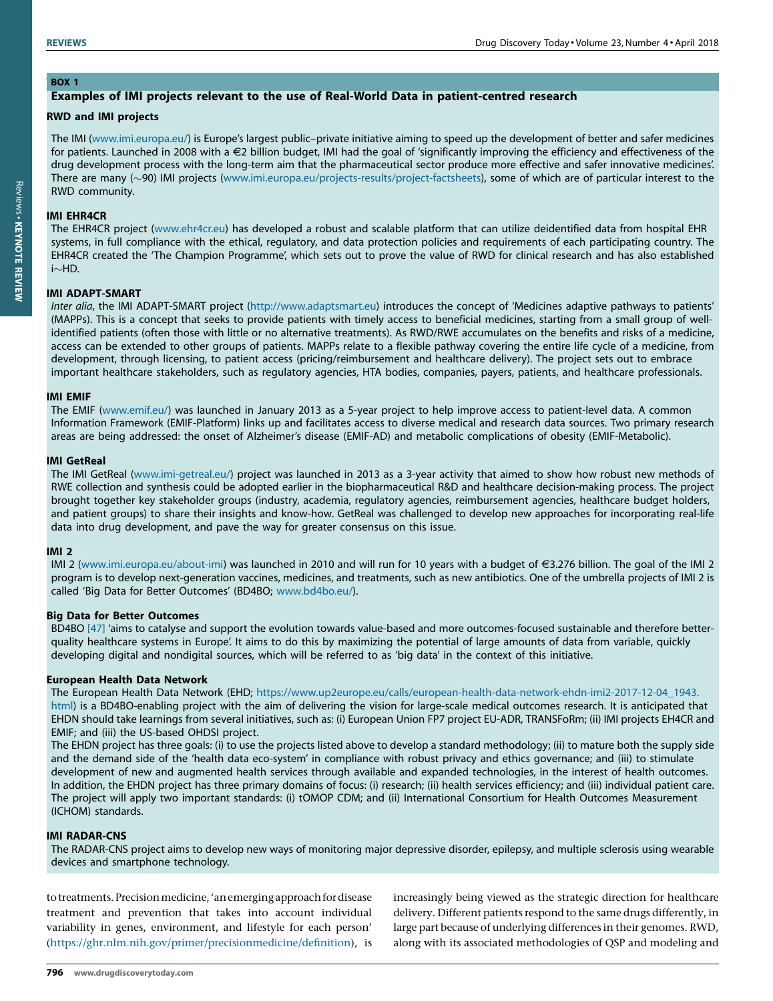# <span id="page-8-0"></span>BOX 1

# Examples of IMI projects relevant to the use of Real-World Data in patient-centred research

# RWD and IMI projects

The IMI ([www.imi.europa.eu/\)](http://www.imi.europa.eu/) is Europe's largest public–private initiative aiming to speed up the development of better and safer medicines for patients. Launched in 2008 with a  $\epsilon$ 2 billion budget, IMI had the goal of 'significantly improving the efficiency and effectiveness of the drug development process with the long-term aim that the pharmaceutical sector produce more effective and safer innovative medicines'. There are many (~90) IMI projects [\(www.imi.europa.eu/projects-results/project-factsheets](http://www.imi.europa.eu/projects-results/project-factsheets)), some of which are of particular interest to the RWD community.

## IMI EHR4CR

The EHR4CR project [\(www.ehr4cr.eu\)](http://www.ehr4cr.eu) has developed a robust and scalable platform that can utilize deidentified data from hospital EHR systems, in full compliance with the ethical, regulatory, and data protection policies and requirements of each participating country. The EHR4CR created the 'The Champion Programme', which sets out to prove the value of RWD for clinical research and has also established  $i \sim$ HD.

## IMI ADAPT-SMART

Inter alia, the IMI ADAPT-SMART project [\(http://www.adaptsmart.eu](http://www.adaptsmart.eu)) introduces the concept of 'Medicines adaptive pathways to patients' (MAPPs). This is a concept that seeks to provide patients with timely access to beneficial medicines, starting from a small group of wellidentified patients (often those with little or no alternative treatments). As RWD/RWE accumulates on the benefits and risks of a medicine, access can be extended to other groups of patients. MAPPs relate to a flexible pathway covering the entire life cycle of a medicine, from development, through licensing, to patient access (pricing/reimbursement and healthcare delivery). The project sets out to embrace important healthcare stakeholders, such as regulatory agencies, HTA bodies, companies, payers, patients, and healthcare professionals.

## IMI EMIF

The EMIF [\(www.emif.eu/](http://www.emif.eu/)) was launched in January 2013 as a 5-year project to help improve access to patient-level data. A common Information Framework (EMIF-Platform) links up and facilitates access to diverse medical and research data sources. Two primary research areas are being addressed: the onset of Alzheimer's disease (EMIF-AD) and metabolic complications of obesity (EMIF-Metabolic).

## IMI GetReal

The IMI GetReal [\(www.imi-getreal.eu/\)](http://www.imi-getreal.eu/) project was launched in 2013 as a 3-year activity that aimed to show how robust new methods of RWE collection and synthesis could be adopted earlier in the biopharmaceutical R&D and healthcare decision-making process. The project brought together key stakeholder groups (industry, academia, regulatory agencies, reimbursement agencies, healthcare budget holders, and patient groups) to share their insights and know-how. GetReal was challenged to develop new approaches for incorporating real-life data into drug development, and pave the way for greater consensus on this issue.

#### IMI 2

IMI 2 [\(www.imi.europa.eu/about-imi](http://www.imi.europa.eu/about-imi)) was launched in 2010 and will run for 10 years with a budget of  $\epsilon$ 3.276 billion. The goal of the IMI 2 program is to develop next-generation vaccines, medicines, and treatments, such as new antibiotics. One of the umbrella projects of IMI 2 is called 'Big Data for Better Outcomes' (BD4BO; [www.bd4bo.eu/\)](http://www.bd4bo.eu/).

#### Big Data for Better Outcomes

BD4BO [\[47\]](#page-13-0) 'aims to catalyse and support the evolution towards value-based and more outcomes-focused sustainable and therefore betterquality healthcare systems in Europe'. It aims to do this by maximizing the potential of large amounts of data from variable, quickly developing digital and nondigital sources, which will be referred to as 'big data' in the context of this initiative.

#### European Health Data Network

The European Health Data Network (EHD; [https://www.up2europe.eu/calls/european-health-data-network-ehdn-imi2-2017-12-04\\_1943.](https://www.up2europe.eu/calls/european-health-data-network-ehdn-imi2-2017-12-04_1943.html) [html](https://www.up2europe.eu/calls/european-health-data-network-ehdn-imi2-2017-12-04_1943.html)) is a BD4BO-enabling project with the aim of delivering the vision for large-scale medical outcomes research. It is anticipated that EHDN should take learnings from several initiatives, such as: (i) European Union FP7 project EU-ADR, TRANSFoRm; (ii) IMI projects EH4CR and EMIF; and (iii) the US-based OHDSI project.

The EHDN project has three goals: (i) to use the projects listed above to develop a standard methodology; (ii) to mature both the supply side and the demand side of the 'health data eco-system' in compliance with robust privacy and ethics governance; and (iii) to stimulate development of new and augmented health services through available and expanded technologies, in the interest of health outcomes. In addition, the EHDN project has three primary domains of focus: (i) research; (ii) health services efficiency; and (iii) individual patient care. The project will apply two important standards: (i) tOMOP CDM; and (ii) International Consortium for Health Outcomes Measurement (ICHOM) standards.

# IMI RADAR-CNS

The RADAR-CNS project aims to develop new ways of monitoring major depressive disorder, epilepsy, and multiple sclerosis using wearable devices and smartphone technology.

to treatments. Precision medicine, 'an emerging approach for disease treatment and prevention that takes into account individual variability in genes, environment, and lifestyle for each person' (<https://ghr.nlm.nih.gov/primer/precisionmedicine/definition>), is increasingly being viewed as the strategic direction for healthcare delivery. Different patients respond to the same drugs differently, in large part because of underlying differences in their genomes. RWD, along with its associated methodologies of QSP and modeling and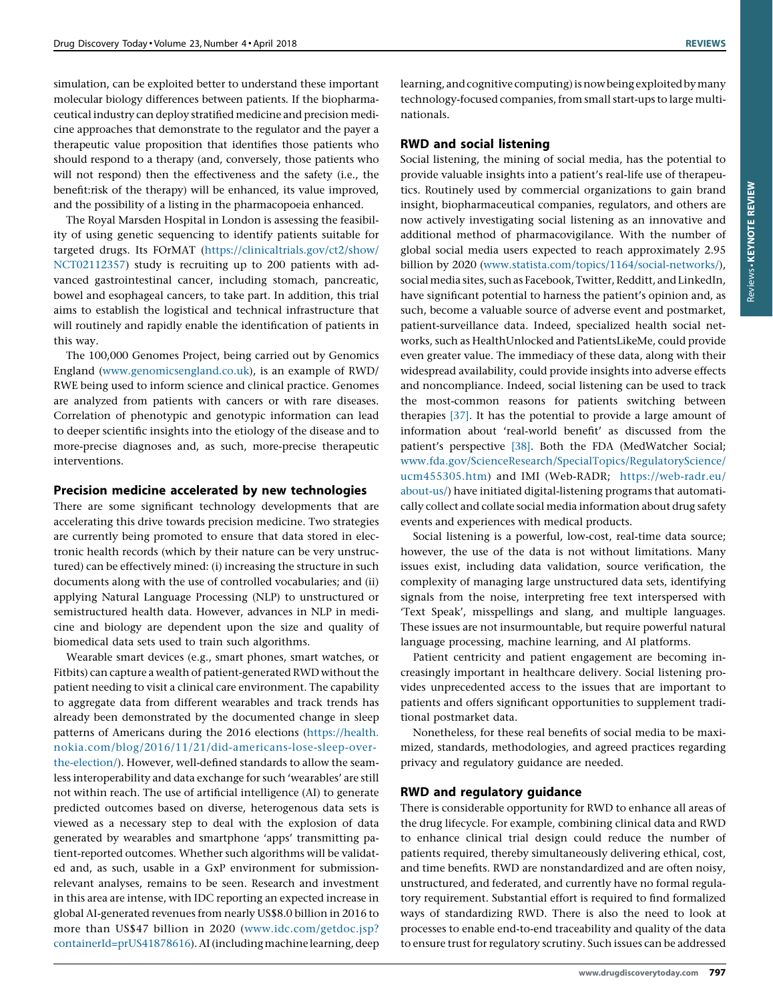simulation, can be exploited better to understand these important molecular biology differences between patients. If the biopharmaceutical industry can deploy stratified medicine and precision medicine approaches that demonstrate to the regulator and the payer a therapeutic value proposition that identifies those patients who should respond to a therapy (and, conversely, those patients who will not respond) then the effectiveness and the safety (i.e., the benefit:risk of the therapy) will be enhanced, its value improved, and the possibility of a listing in the pharmacopoeia enhanced.

The Royal Marsden Hospital in London is assessing the feasibility of using genetic sequencing to identify patients suitable for targeted drugs. Its FOrMAT [\(https://clinicaltrials.gov/ct2/show/](https://clinicaltrials.gov/ct2/show/NCT02112357) [NCT02112357](https://clinicaltrials.gov/ct2/show/NCT02112357)) study is recruiting up to 200 patients with advanced gastrointestinal cancer, including stomach, pancreatic, bowel and esophageal cancers, to take part. In addition, this trial aims to establish the logistical and technical infrastructure that will routinely and rapidly enable the identification of patients in this way.

The 100,000 Genomes Project, being carried out by Genomics England [\(www.genomicsengland.co.uk\)](http://www.genomicsengland.co.uk), is an example of RWD/ RWE being used to inform science and clinical practice. Genomes are analyzed from patients with cancers or with rare diseases. Correlation of phenotypic and genotypic information can lead to deeper scientific insights into the etiology of the disease and to more-precise diagnoses and, as such, more-precise therapeutic interventions.

#### Precision medicine accelerated by new technologies

There are some significant technology developments that are accelerating this drive towards precision medicine. Two strategies are currently being promoted to ensure that data stored in electronic health records (which by their nature can be very unstructured) can be effectively mined: (i) increasing the structure in such documents along with the use of controlled vocabularies; and (ii) applying Natural Language Processing (NLP) to unstructured or semistructured health data. However, advances in NLP in medicine and biology are dependent upon the size and quality of biomedical data sets used to train such algorithms.

Wearable smart devices (e.g., smart phones, smart watches, or Fitbits) can capture a wealth of patient-generated RWD without the patient needing to visit a clinical care environment. The capability to aggregate data from different wearables and track trends has already been demonstrated by the documented change in sleep patterns of Americans during the 2016 elections [\(https://health.](https://health.nokia.com/blog/2016/11/21/did-americans-lose-sleep-over-the-election/) [nokia.com/blog/2016/11/21/did-americans-lose-sleep-over](https://health.nokia.com/blog/2016/11/21/did-americans-lose-sleep-over-the-election/)[the-election/](https://health.nokia.com/blog/2016/11/21/did-americans-lose-sleep-over-the-election/)). However, well-defined standards to allow the seamless interoperability and data exchange for such 'wearables' are still not within reach. The use of artificial intelligence (AI) to generate predicted outcomes based on diverse, heterogenous data sets is viewed as a necessary step to deal with the explosion of data generated by wearables and smartphone 'apps' transmitting patient-reported outcomes. Whether such algorithms will be validated and, as such, usable in a GxP environment for submissionrelevant analyses, remains to be seen. Research and investment in this area are intense, with IDC reporting an expected increase in global AI-generated revenues from nearly US\$8.0 billion in 2016 to more than US\$47 billion in 2020 ([www.idc.com/getdoc.jsp?](http://www.idc.com/getdoc.jsp?containerId=prUS41878616) [containerId=prUS41878616](http://www.idc.com/getdoc.jsp?containerId=prUS41878616)). AI (including machine learning, deep learning, and cognitive computing) is now being exploited by many technology-focused companies, from small start-ups to large multinationals.

# RWD and social listening

Social listening, the mining of social media, has the potential to provide valuable insights into a patient's real-life use of therapeutics. Routinely used by commercial organizations to gain brand insight, biopharmaceutical companies, regulators, and others are now actively investigating social listening as an innovative and additional method of pharmacovigilance. With the number of global social media users expected to reach approximately 2.95 billion by 2020 [\(www.statista.com/topics/1164/social-networks/\)](http://www.statista.com/topics/1164/social-networks/), social media sites, such as Facebook, Twitter, Redditt, and LinkedIn, have significant potential to harness the patient's opinion and, as such, become a valuable source of adverse event and postmarket, patient-surveillance data. Indeed, specialized health social networks, such as HealthUnlocked and PatientsLikeMe, could provide even greater value. The immediacy of these data, along with their widespread availability, could provide insights into adverse effects and noncompliance. Indeed, social listening can be used to track the most-common reasons for patients switching between therapies [\[37\].](#page-12-0) It has the potential to provide a large amount of information about 'real-world benefit' as discussed from the patient's perspective [\[38\].](#page-12-0) Both the FDA (MedWatcher Social; [www.fda.gov/ScienceResearch/SpecialTopics/RegulatoryScience/](http://www.fda.gov/ScienceResearch/SpecialTopics/RegulatoryScience/ucm455305.htm) [ucm455305.htm](http://www.fda.gov/ScienceResearch/SpecialTopics/RegulatoryScience/ucm455305.htm)) and IMI (Web-RADR; [https://web-radr.eu/](https://web-radr.eu/about-us/) [about-us/\)](https://web-radr.eu/about-us/) have initiated digital-listening programs that automatically collect and collate social media information about drug safety events and experiences with medical products.

Social listening is a powerful, low-cost, real-time data source; however, the use of the data is not without limitations. Many issues exist, including data validation, source verification, the complexity of managing large unstructured data sets, identifying signals from the noise, interpreting free text interspersed with 'Text Speak', misspellings and slang, and multiple languages. These issues are not insurmountable, but require powerful natural language processing, machine learning, and AI platforms.

Patient centricity and patient engagement are becoming increasingly important in healthcare delivery. Social listening provides unprecedented access to the issues that are important to patients and offers significant opportunities to supplement traditional postmarket data.

Nonetheless, for these real benefits of social media to be maximized, standards, methodologies, and agreed practices regarding privacy and regulatory guidance are needed.

## RWD and regulatory guidance

There is considerable opportunity for RWD to enhance all areas of the drug lifecycle. For example, combining clinical data and RWD to enhance clinical trial design could reduce the number of patients required, thereby simultaneously delivering ethical, cost, and time benefits. RWD are nonstandardized and are often noisy, unstructured, and federated, and currently have no formal regulatory requirement. Substantial effort is required to find formalized ways of standardizing RWD. There is also the need to look at processes to enable end-to-end traceability and quality of the data to ensure trust for regulatory scrutiny. Such issues can be addressed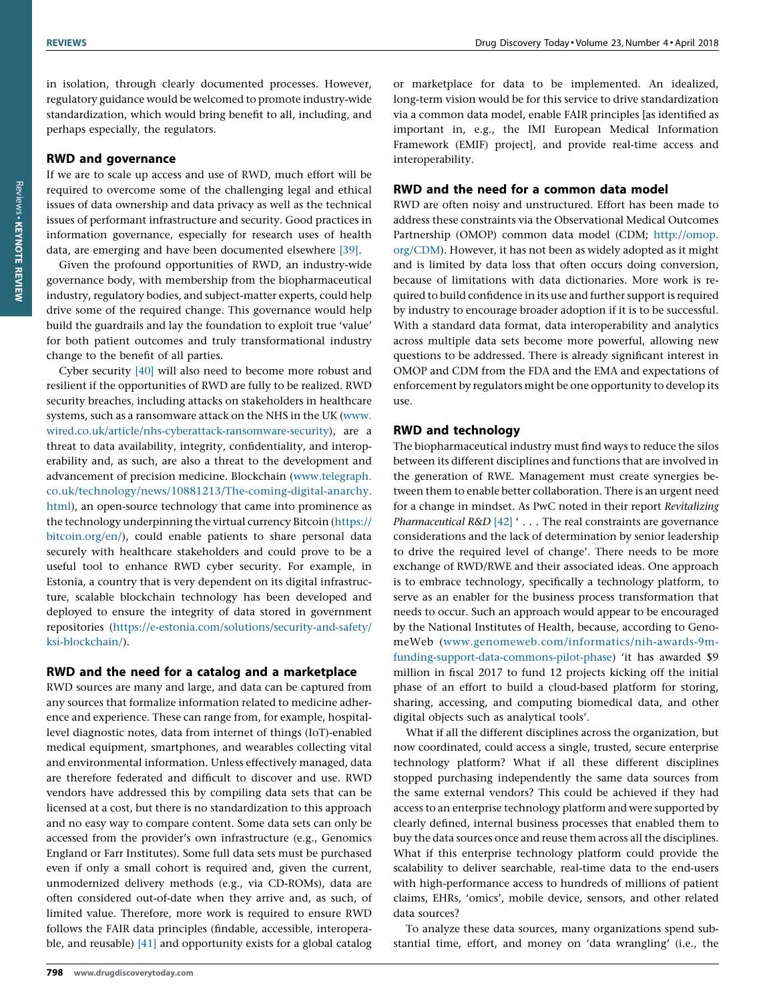in isolation, through clearly documented processes. However, regulatory guidance would be welcomed to promote industry-wide standardization, which would bring benefit to all, including, and perhaps especially, the regulators.

#### RWD and governance

If we are to scale up access and use of RWD, much effort will be required to overcome some of the challenging legal and ethical issues of data ownership and data privacy as well as the technical issues of performant infrastructure and security. Good practices in information governance, especially for research uses of health data, are emerging and have been documented elsewhere [\[39\]](#page-12-0).

Given the profound opportunities of RWD, an industry-wide governance body, with membership from the biopharmaceutical industry, regulatory bodies, and subject-matter experts, could help drive some of the required change. This governance would help build the guardrails and lay the foundation to exploit true 'value' for both patient outcomes and truly transformational industry change to the benefit of all parties.

Cyber security [\[40\]](#page-12-0) will also need to become more robust and resilient if the opportunities of RWD are fully to be realized. RWD security breaches, including attacks on stakeholders in healthcare systems, such as a ransomware attack on the NHS in the UK [\(www.](http://www.wired.co.uk/article/nhs-cyberattack-ransomware-security) [wired.co.uk/article/nhs-cyberattack-ransomware-security\)](http://www.wired.co.uk/article/nhs-cyberattack-ransomware-security), are a threat to data availability, integrity, confidentiality, and interoperability and, as such, are also a threat to the development and advancement of precision medicine. Blockchain ([www.telegraph.](http://www.telegraph.co.uk/technology/news/10881213/The-coming-digital-anarchy.html) [co.uk/technology/news/10881213/The-coming-digital-anarchy.](http://www.telegraph.co.uk/technology/news/10881213/The-coming-digital-anarchy.html) [html](http://www.telegraph.co.uk/technology/news/10881213/The-coming-digital-anarchy.html)), an open-source technology that came into prominence as the technology underpinning the virtual currency Bitcoin [\(https://](https://bitcoin.org/en/) [bitcoin.org/en/\)](https://bitcoin.org/en/), could enable patients to share personal data securely with healthcare stakeholders and could prove to be a useful tool to enhance RWD cyber security. For example, in Estonia, a country that is very dependent on its digital infrastructure, scalable blockchain technology has been developed and deployed to ensure the integrity of data stored in government repositories ([https://e-estonia.com/solutions/security-and-safety/](https://e-estonia.com/solutions/security-and-safety/ksi-blockchain/) [ksi-blockchain/](https://e-estonia.com/solutions/security-and-safety/ksi-blockchain/)).

## RWD and the need for a catalog and a marketplace

RWD sources are many and large, and data can be captured from any sources that formalize information related to medicine adherence and experience. These can range from, for example, hospitallevel diagnostic notes, data from internet of things (IoT)-enabled medical equipment, smartphones, and wearables collecting vital and environmental information. Unless effectively managed, data are therefore federated and difficult to discover and use. RWD vendors have addressed this by compiling data sets that can be licensed at a cost, but there is no standardization to this approach and no easy way to compare content. Some data sets can only be accessed from the provider's own infrastructure (e.g., Genomics England or Farr Institutes). Some full data sets must be purchased even if only a small cohort is required and, given the current, unmodernized delivery methods (e.g., via CD-ROMs), data are often considered out-of-date when they arrive and, as such, of limited value. Therefore, more work is required to ensure RWD follows the FAIR data principles (findable, accessible, interoperable, and reusable) [\[41\]](#page-12-0) and opportunity exists for a global catalog or marketplace for data to be implemented. An idealized, long-term vision would be for this service to drive standardization via a common data model, enable FAIR principles [as identified as important in, e.g., the IMI European Medical Information Framework (EMIF) project], and provide real-time access and interoperability.

# RWD and the need for a common data model

RWD are often noisy and unstructured. Effort has been made to address these constraints via the Observational Medical Outcomes Partnership (OMOP) common data model (CDM; [http://omop.](http://omop.org/CDM) [org/CDM\)](http://omop.org/CDM). However, it has not been as widely adopted as it might and is limited by data loss that often occurs doing conversion, because of limitations with data dictionaries. More work is required to build confidence in its use and further support is required by industry to encourage broader adoption if it is to be successful. With a standard data format, data interoperability and analytics across multiple data sets become more powerful, allowing new questions to be addressed. There is already significant interest in OMOP and CDM from the FDA and the EMA and expectations of enforcement by regulators might be one opportunity to develop its use.

# RWD and technology

The biopharmaceutical industry must find ways to reduce the silos between its different disciplines and functions that are involved in the generation of RWE. Management must create synergies between them to enable better collaboration. There is an urgent need for a change in mindset. As PwC noted in their report Revitalizing Pharmaceutical R&D [\[42\]](#page-12-0) ' . . . The real constraints are governance considerations and the lack of determination by senior leadership to drive the required level of change'. There needs to be more exchange of RWD/RWE and their associated ideas. One approach is to embrace technology, specifically a technology platform, to serve as an enabler for the business process transformation that needs to occur. Such an approach would appear to be encouraged by the National Institutes of Health, because, according to GenomeWeb ([www.genomeweb.com/informatics/nih-awards-9m](http://www.genomeweb.com/informatics/nih-awards-9m-funding-support-data-commons-pilot-phase)[funding-support-data-commons-pilot-phase](http://www.genomeweb.com/informatics/nih-awards-9m-funding-support-data-commons-pilot-phase)) 'it has awarded \$9 million in fiscal 2017 to fund 12 projects kicking off the initial phase of an effort to build a cloud-based platform for storing, sharing, accessing, and computing biomedical data, and other digital objects such as analytical tools'.

What if all the different disciplines across the organization, but now coordinated, could access a single, trusted, secure enterprise technology platform? What if all these different disciplines stopped purchasing independently the same data sources from the same external vendors? This could be achieved if they had access to an enterprise technology platform and were supported by clearly defined, internal business processes that enabled them to buy the data sources once and reuse them across all the disciplines. What if this enterprise technology platform could provide the scalability to deliver searchable, real-time data to the end-users with high-performance access to hundreds of millions of patient claims, EHRs, 'omics', mobile device, sensors, and other related data sources?

To analyze these data sources, many organizations spend substantial time, effort, and money on 'data wrangling' (i.e., the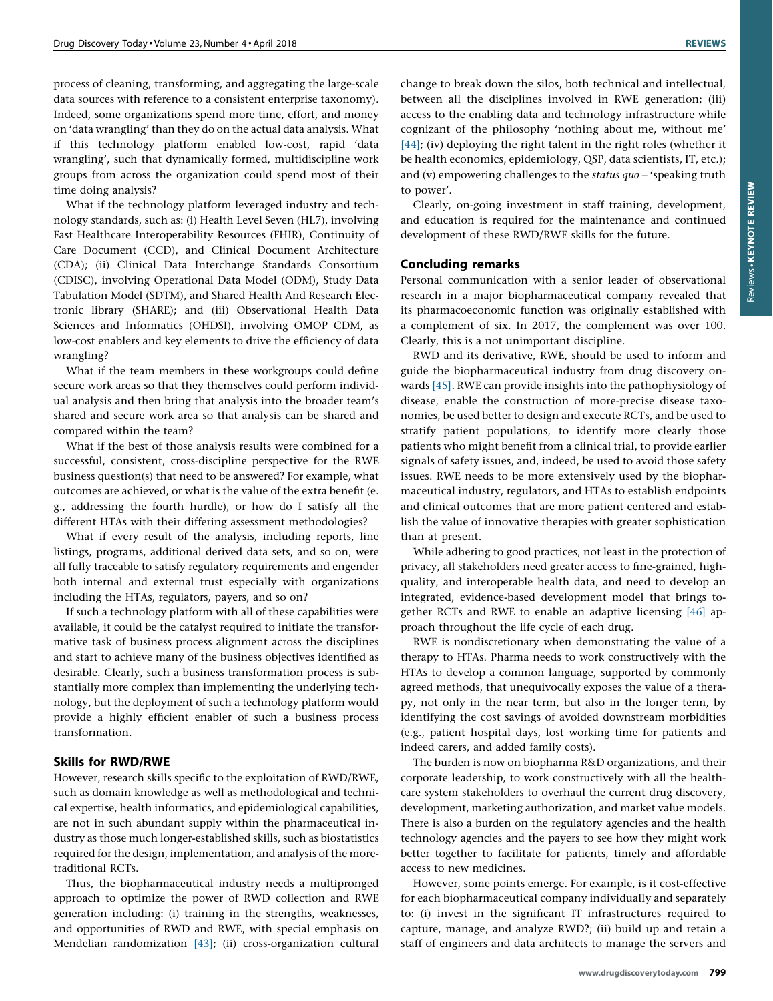process of cleaning, transforming, and aggregating the large-scale data sources with reference to a consistent enterprise taxonomy). Indeed, some organizations spend more time, effort, and money on 'data wrangling' than they do on the actual data analysis. What if this technology platform enabled low-cost, rapid 'data wrangling', such that dynamically formed, multidiscipline work groups from across the organization could spend most of their time doing analysis?

What if the technology platform leveraged industry and technology standards, such as: (i) Health Level Seven (HL7), involving Fast Healthcare Interoperability Resources (FHIR), Continuity of Care Document (CCD), and Clinical Document Architecture (CDA); (ii) Clinical Data Interchange Standards Consortium (CDISC), involving Operational Data Model (ODM), Study Data Tabulation Model (SDTM), and Shared Health And Research Electronic library (SHARE); and (iii) Observational Health Data Sciences and Informatics (OHDSI), involving OMOP CDM, as low-cost enablers and key elements to drive the efficiency of data wrangling?

What if the team members in these workgroups could define secure work areas so that they themselves could perform individual analysis and then bring that analysis into the broader team's shared and secure work area so that analysis can be shared and compared within the team?

What if the best of those analysis results were combined for a successful, consistent, cross-discipline perspective for the RWE business question(s) that need to be answered? For example, what outcomes are achieved, or what is the value of the extra benefit (e. g., addressing the fourth hurdle), or how do I satisfy all the different HTAs with their differing assessment methodologies?

What if every result of the analysis, including reports, line listings, programs, additional derived data sets, and so on, were all fully traceable to satisfy regulatory requirements and engender both internal and external trust especially with organizations including the HTAs, regulators, payers, and so on?

If such a technology platform with all of these capabilities were available, it could be the catalyst required to initiate the transformative task of business process alignment across the disciplines and start to achieve many of the business objectives identified as desirable. Clearly, such a business transformation process is substantially more complex than implementing the underlying technology, but the deployment of such a technology platform would provide a highly efficient enabler of such a business process transformation.

# Skills for RWD/RWE

However, research skills specific to the exploitation of RWD/RWE, such as domain knowledge as well as methodological and technical expertise, health informatics, and epidemiological capabilities, are not in such abundant supply within the pharmaceutical industry as those much longer-established skills, such as biostatistics required for the design, implementation, and analysis of the moretraditional RCTs.

Thus, the biopharmaceutical industry needs a multipronged approach to optimize the power of RWD collection and RWE generation including: (i) training in the strengths, weaknesses, and opportunities of RWD and RWE, with special emphasis on Mendelian randomization [\[43\];](#page-13-0) (ii) cross-organization cultural

Clearly, on-going investment in staff training, development, and education is required for the maintenance and continued development of these RWD/RWE skills for the future.

## Concluding remarks

Personal communication with a senior leader of observational research in a major biopharmaceutical company revealed that its pharmacoeconomic function was originally established with a complement of six. In 2017, the complement was over 100. Clearly, this is a not unimportant discipline.

RWD and its derivative, RWE, should be used to inform and guide the biopharmaceutical industry from drug discovery onwards [\[45\].](#page-13-0) RWE can provide insights into the pathophysiology of disease, enable the construction of more-precise disease taxonomies, be used better to design and execute RCTs, and be used to stratify patient populations, to identify more clearly those patients who might benefit from a clinical trial, to provide earlier signals of safety issues, and, indeed, be used to avoid those safety issues. RWE needs to be more extensively used by the biopharmaceutical industry, regulators, and HTAs to establish endpoints and clinical outcomes that are more patient centered and establish the value of innovative therapies with greater sophistication than at present.

While adhering to good practices, not least in the protection of privacy, all stakeholders need greater access to fine-grained, highquality, and interoperable health data, and need to develop an integrated, evidence-based development model that brings together RCTs and RWE to enable an adaptive licensing [\[46\]](#page-13-0) approach throughout the life cycle of each drug.

RWE is nondiscretionary when demonstrating the value of a therapy to HTAs. Pharma needs to work constructively with the HTAs to develop a common language, supported by commonly agreed methods, that unequivocally exposes the value of a therapy, not only in the near term, but also in the longer term, by identifying the cost savings of avoided downstream morbidities (e.g., patient hospital days, lost working time for patients and indeed carers, and added family costs).

The burden is now on biopharma R&D organizations, and their corporate leadership, to work constructively with all the healthcare system stakeholders to overhaul the current drug discovery, development, marketing authorization, and market value models. There is also a burden on the regulatory agencies and the health technology agencies and the payers to see how they might work better together to facilitate for patients, timely and affordable access to new medicines.

However, some points emerge. For example, is it cost-effective for each biopharmaceutical company individually and separately to: (i) invest in the significant IT infrastructures required to capture, manage, and analyze RWD?; (ii) build up and retain a staff of engineers and data architects to manage the servers and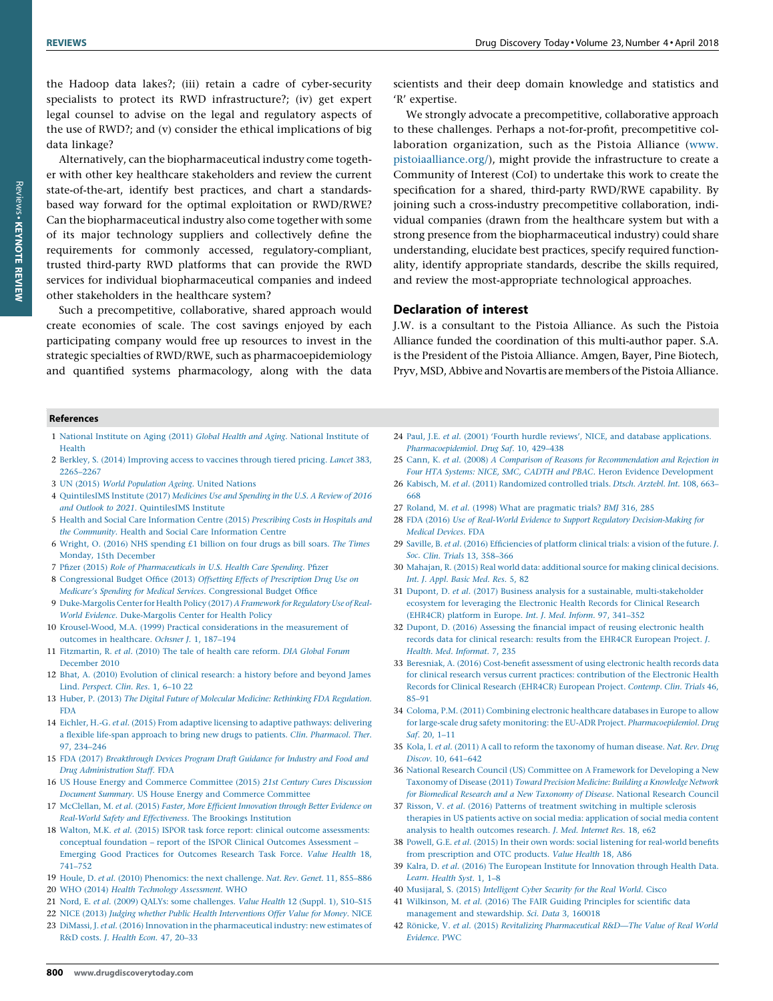<span id="page-12-0"></span>the Hadoop data lakes?; (iii) retain a cadre of cyber-security specialists to protect its RWD infrastructure?; (iv) get expert legal counsel to advise on the legal and regulatory aspects of the use of RWD?; and (v) consider the ethical implications of big data linkage?

Alternatively, can the biopharmaceutical industry come together with other key healthcare stakeholders and review the current state-of-the-art, identify best practices, and chart a standardsbased way forward for the optimal exploitation or RWD/RWE? Can the biopharmaceutical industry also come together with some of its major technology suppliers and collectively define the requirements for commonly accessed, regulatory-compliant, trusted third-party RWD platforms that can provide the RWD services for individual biopharmaceutical companies and indeed other stakeholders in the healthcare system?

Such a precompetitive, collaborative, shared approach would create economies of scale. The cost savings enjoyed by each participating company would free up resources to invest in the strategic specialties of RWD/RWE, such as pharmacoepidemiology and quantified systems pharmacology, along with the data

scientists and their deep domain knowledge and statistics and 'R' expertise.

We strongly advocate a precompetitive, collaborative approach to these challenges. Perhaps a not-for-profit, precompetitive collaboration organization, such as the Pistoia Alliance ([www.](http://www.pistoiaalliance.org/) [pistoiaalliance.org/](http://www.pistoiaalliance.org/)), might provide the infrastructure to create a Community of Interest (CoI) to undertake this work to create the specification for a shared, third-party RWD/RWE capability. By joining such a cross-industry precompetitive collaboration, individual companies (drawn from the healthcare system but with a strong presence from the biopharmaceutical industry) could share understanding, elucidate best practices, specify required functionality, identify appropriate standards, describe the skills required, and review the most-appropriate technological approaches.

## Declaration of interest

J.W. is a consultant to the Pistoia Alliance. As such the Pistoia Alliance funded the coordination of this multi-author paper. S.A. is the President of the Pistoia Alliance. Amgen, Bayer, Pine Biotech, Pryv, MSD, Abbive and Novartis are members of the Pistoia Alliance.

#### References

- 1 National Institute on Aging (2011) Global Health and Aging. [National](http://refhub.elsevier.com/S1359-6446(17)30366-5/sbref0005) Institute of [Health](http://refhub.elsevier.com/S1359-6446(17)30366-5/sbref0005)
- 2 Berkley, S. (2014) [Improving](http://refhub.elsevier.com/S1359-6446(17)30366-5/sbref0010) access to vaccines through tiered pricing. Lancet 383, [2265–2267](http://refhub.elsevier.com/S1359-6446(17)30366-5/sbref0010)
- 3 UN (2015) World [Population](http://refhub.elsevier.com/S1359-6446(17)30366-5/sbref0015) Ageing. United Nations
- 4 [QuintilesIMS](http://refhub.elsevier.com/S1359-6446(17)30366-5/sbref0020) Institute (2017) Medicines Use and Spending in the U.S. A Review of 2016 and Outlook to 2021. [QuintilesIMS](http://refhub.elsevier.com/S1359-6446(17)30366-5/sbref0020) Institute
- 5 Health and Social Care [Information](http://refhub.elsevier.com/S1359-6446(17)30366-5/sbref0025) Centre (2015) Prescribing Costs in Hospitals and the Community. Health and Social Care [Information](http://refhub.elsevier.com/S1359-6446(17)30366-5/sbref0025) Centre
- 6 Wright, O. (2016) NHS [spending](http://refhub.elsevier.com/S1359-6446(17)30366-5/sbref0030)  $£1$  billion on four drugs as bill soars. The Times Monday, 15th [December](http://refhub.elsevier.com/S1359-6446(17)30366-5/sbref0030)
- 7 Pfizer (2015) Role of [Pharmaceuticals](http://refhub.elsevier.com/S1359-6446(17)30366-5/sbref0035) in U.S. Health Care Spending. Pfizer
- 8 [Congressional](http://refhub.elsevier.com/S1359-6446(17)30366-5/sbref0040) Budget Office (2013) Offsetting Effects of Prescription Drug Use on Medicare's Spending for Medical Services. [Congressional](http://refhub.elsevier.com/S1359-6446(17)30366-5/sbref0040) Budget Office
- 9 [Duke-Margolis](http://refhub.elsevier.com/S1359-6446(17)30366-5/sbref0045) Center for Health Policy (2017) A Framework for Regulatory Use of Real-World Evidence. [Duke-Margolis](http://refhub.elsevier.com/S1359-6446(17)30366-5/sbref0045) Center for Health Policy
- 10 [Krousel-Wood,](http://refhub.elsevier.com/S1359-6446(17)30366-5/sbref0050) M.A. (1999) Practical considerations in the measurement of outcomes in [healthcare.](http://refhub.elsevier.com/S1359-6446(17)30366-5/sbref0050) Ochsner J. 1, 187–194
- 11 [Fitzmartin,](http://refhub.elsevier.com/S1359-6446(17)30366-5/sbref0055) R. et al. (2010) The tale of health care reform. DIA Global Forum [December](http://refhub.elsevier.com/S1359-6446(17)30366-5/sbref0055) 2010
- 12 Bhat, A. (2010) [Evolution](http://refhub.elsevier.com/S1359-6446(17)30366-5/sbref0060) of clinical research: a history before and beyond James Lind. [Perspect.](http://refhub.elsevier.com/S1359-6446(17)30366-5/sbref0060) Clin. Res. 1, 6–10 22
- 13 Huber, P. (2013) The Digital Future of Molecular Medicine: Rethinking FDA [Regulation.](http://refhub.elsevier.com/S1359-6446(17)30366-5/sbref0065) [FDA](http://refhub.elsevier.com/S1359-6446(17)30366-5/sbref0065)
- 14 Eichler, H.-G. et al. (2015) From adaptive licensing to adaptive [pathways:](http://refhub.elsevier.com/S1359-6446(17)30366-5/sbref0070) delivering a flexible life-span approach to bring new drugs to patients. Clin. [Pharmacol.](http://refhub.elsevier.com/S1359-6446(17)30366-5/sbref0070) Ther. 97, [234–246](http://refhub.elsevier.com/S1359-6446(17)30366-5/sbref0070)
- 15 FDA (2017) [Breakthrough](http://refhub.elsevier.com/S1359-6446(17)30366-5/sbref0075) Devices Program Draft Guidance for Industry and Food and Drug [Administration](http://refhub.elsevier.com/S1359-6446(17)30366-5/sbref0075) Staff. FDA
- 16 US House Energy and Commerce [Committee](http://refhub.elsevier.com/S1359-6446(17)30366-5/sbref0080) (2015) 21st Century Cures Discussion Document Summary. US House Energy and Commerce [Committee](http://refhub.elsevier.com/S1359-6446(17)30366-5/sbref0080)
- 17 [McClellan,](http://refhub.elsevier.com/S1359-6446(17)30366-5/sbref0085) M. et al. (2015) Faster, More Efficient Innovation through Better Evidence on Real-World Safety and [Effectiveness.](http://refhub.elsevier.com/S1359-6446(17)30366-5/sbref0085) The Brookings Institution
- 18 Walton, M.K. et al. (2015) ISPOR task force report: clinical outcome [assessments:](http://refhub.elsevier.com/S1359-6446(17)30366-5/sbref0090) conceptual foundation – report of the ISPOR Clinical Outcomes [Assessment](http://refhub.elsevier.com/S1359-6446(17)30366-5/sbref0090) – Emerging Good Practices for [Outcomes](http://refhub.elsevier.com/S1359-6446(17)30366-5/sbref0090) Research Task Force. Value Health 18,
- [741–752](http://refhub.elsevier.com/S1359-6446(17)30366-5/sbref0090) 19 Houle, D. et al. (2010) [Phenomics:](http://refhub.elsevier.com/S1359-6446(17)30366-5/sbref0095) the next challenge. Nat. Rev. Genet. 11, 855–886
- 20 WHO (2014) Health Technology [Assessment.](http://refhub.elsevier.com/S1359-6446(17)30366-5/sbref0100) WHO
- 21 Nord, E. et al. (2009) QALYs: some [challenges.](http://refhub.elsevier.com/S1359-6446(17)30366-5/sbref0105) Value Health 12 (Suppl. 1), S10–S15
- 22 NICE (2013) Judging whether Public Health [Interventions](http://refhub.elsevier.com/S1359-6446(17)30366-5/sbref0110) Offer Value for Money. NICE
- 23 DiMassi, J. et al. (2016) Innovation in the [pharmaceutical](http://refhub.elsevier.com/S1359-6446(17)30366-5/sbref0115) industry: new estimates of R&D costs. J. [Health](http://refhub.elsevier.com/S1359-6446(17)30366-5/sbref0115) Econ. 47, 20–33
- 24 Paul, J.E. et al. (2001) 'Fourth hurdle reviews', NICE, and database [applications.](http://refhub.elsevier.com/S1359-6446(17)30366-5/sbref0120) [Pharmacoepidemiol.](http://refhub.elsevier.com/S1359-6446(17)30366-5/sbref0120) Drug Saf. 10, 429–438
- 25 Cann, K. et al. (2008) A Comparison of Reasons for [Recommendation](http://refhub.elsevier.com/S1359-6446(17)30366-5/sbref0125) and Rejection in Four HTA Systems: NICE, SMC, CADTH and PBAC. Heron Evidence [Development](http://refhub.elsevier.com/S1359-6446(17)30366-5/sbref0125)
- 26 Kabisch, M. et al. (2011) [Randomized](http://refhub.elsevier.com/S1359-6446(17)30366-5/sbref0130) controlled trials. Dtsch. Arztebl. Int. 108, 663-[668](http://refhub.elsevier.com/S1359-6446(17)30366-5/sbref0130)
- 27 Roland, M. et al. (1998) What are [pragmatic](http://refhub.elsevier.com/S1359-6446(17)30366-5/sbref0135) trials? BMJ 316, 285
- 28 FDA (2016) Use of Real-World Evidence to Support Regulatory [Decision-Making](http://refhub.elsevier.com/S1359-6446(17)30366-5/sbref0140) for Medical [Devices.](http://refhub.elsevier.com/S1359-6446(17)30366-5/sbref0140) FDA
- 29 Saville, B. et al. (2016) [Efficiencies](http://refhub.elsevier.com/S1359-6446(17)30366-5/sbref0145) of platform clinical trials: a vision of the future. J. Soc. Clin. Trials 13, [358–366](http://refhub.elsevier.com/S1359-6446(17)30366-5/sbref0145)
- 30 Mahajan, R. (2015) Real world data: [additional](http://refhub.elsevier.com/S1359-6446(17)30366-5/sbref0150) source for making clinical decisions. Int. J. [Appl.](http://refhub.elsevier.com/S1359-6446(17)30366-5/sbref0150) Basic Med. Res. 5, 82
- 31 Dupont, D. et al. (2017) Business analysis for a sustainable, [multi-stakeholder](http://refhub.elsevier.com/S1359-6446(17)30366-5/sbref0155) ecosystem for [leveraging](http://refhub.elsevier.com/S1359-6446(17)30366-5/sbref0155) the Electronic Health Records for Clinical Research [\(EHR4CR\)](http://refhub.elsevier.com/S1359-6446(17)30366-5/sbref0155) platform in Europe. Int. J. Med. Inform. 97, 341–352
- 32 Dupont, D. (2016) Assessing the financial impact of reusing [electronic](http://refhub.elsevier.com/S1359-6446(17)30366-5/sbref0160) health records data for clinical research: results from the EHR4CR [European](http://refhub.elsevier.com/S1359-6446(17)30366-5/sbref0160) Project. J. Health. Med. [Informat.](http://refhub.elsevier.com/S1359-6446(17)30366-5/sbref0160) 7, 235
- 33 Beresniak, A. (2016) [Cost-benefit](http://refhub.elsevier.com/S1359-6446(17)30366-5/sbref0165) assessment of using electronic health records data for clinical research versus current practices: [contribution](http://refhub.elsevier.com/S1359-6446(17)30366-5/sbref0165) of the Electronic Health Records for Clinical Research [\(EHR4CR\)](http://refhub.elsevier.com/S1359-6446(17)30366-5/sbref0165) European Project. Contemp. Clin. Trials 46, [85–91](http://refhub.elsevier.com/S1359-6446(17)30366-5/sbref0165)
- 34 Coloma, P.M. (2011) [Combining](http://refhub.elsevier.com/S1359-6446(17)30366-5/sbref0170) electronic healthcare databases in Europe to allow for large-scale drug safety monitoring: the EU-ADR Project. [Pharmacoepidemiol.](http://refhub.elsevier.com/S1359-6446(17)30366-5/sbref0170) Drug Saf. 20, [1–11](http://refhub.elsevier.com/S1359-6446(17)30366-5/sbref0170)
- 35 Kola, I. et al. (2011) A call to reform the [taxonomy](http://refhub.elsevier.com/S1359-6446(17)30366-5/sbref0175) of human disease. Nat. Rev. Drug Discov. 10, [641–642](http://refhub.elsevier.com/S1359-6446(17)30366-5/sbref0175)
- 36 National Research Council (US) Committee on A Framework for [Developing](http://refhub.elsevier.com/S1359-6446(17)30366-5/sbref0180) a New [Taxonomy](http://refhub.elsevier.com/S1359-6446(17)30366-5/sbref0180) of Disease (2011) Toward Precision Medicine: Building a Knowledge Network for [Biomedical](http://refhub.elsevier.com/S1359-6446(17)30366-5/sbref0180) Research and a New Taxonomy of Disease. National Research Council
- 37 Risson, V. et al. (2016) Patterns of [treatment](http://refhub.elsevier.com/S1359-6446(17)30366-5/sbref0185) switching in multiple sclerosis therapies in US patients active on social media: [application](http://refhub.elsevier.com/S1359-6446(17)30366-5/sbref0185) of social media content analysis to health [outcomes](http://refhub.elsevier.com/S1359-6446(17)30366-5/sbref0185) research. J. Med. Internet Res. 18, e62
- 38 Powell, G.E. et al. (2015) In their own words: social listening for [real-world](http://refhub.elsevier.com/S1359-6446(17)30366-5/sbref0190) benefits from [prescription](http://refhub.elsevier.com/S1359-6446(17)30366-5/sbref0190) and OTC products. Value Health 18, A86
- 39 Kalra, D. et al. (2016) The European Institute for [Innovation](http://refhub.elsevier.com/S1359-6446(17)30366-5/sbref0195) through Health Data. Learn. [Health](http://refhub.elsevier.com/S1359-6446(17)30366-5/sbref0195) Syst. 1, 1–8
- 40 [Musijaral,](http://refhub.elsevier.com/S1359-6446(17)30366-5/sbref0200) S. (2015) Intelligent Cyber Security for the Real World. Cisco
- 41 [Wilkinson,](http://refhub.elsevier.com/S1359-6446(17)30366-5/sbref0205) M. et al. (2016) The FAIR Guiding Principles for scientific data [management](http://refhub.elsevier.com/S1359-6446(17)30366-5/sbref0205) and stewardship. Sci. Data 3, 160018
- 42 Rönicke, V. et al. (2015) Revitalizing [Pharmaceutical](http://refhub.elsevier.com/S1359-6446(17)30366-5/sbref0210) R&D-The Value of Real World [Evidence.](http://refhub.elsevier.com/S1359-6446(17)30366-5/sbref0210) PWC

800 www.drugdiscoverytoday.com